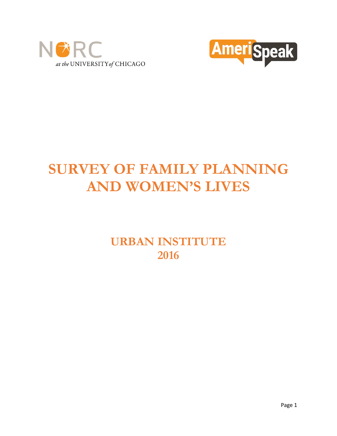



# **SURVEY OF FAMILY PLANNING AND WOMEN'S LIVES**

**URBAN INSTITUTE 2016**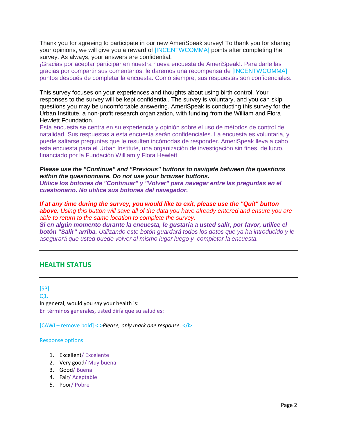Thank you for agreeing to participate in our new AmeriSpeak survey! To thank you for sharing your opinions, we will give you a reward of [INCENTWCOMMA] points after completing the survey. As always, your answers are confidential.

¡Gracias por aceptar participar en nuestra nueva encuesta de AmeriSpeak!. Para darle las gracias por compartir sus comentarios, le daremos una recompensa de [INCENTWCOMMA] puntos después de completar la encuesta. Como siempre, sus respuestas son confidenciales.

This survey focuses on your experiences and thoughts about using birth control. Your responses to the survey will be kept confidential. The survey is voluntary, and you can skip questions you may be uncomfortable answering. AmeriSpeak is conducting this survey for the Urban Institute, a non-profit research organization, with funding from the William and Flora Hewlett Foundation.

Esta encuesta se centra en su experiencia y opinión sobre el uso de métodos de control de natalidad. Sus respuestas a esta encuesta serán confidenciales. La encuesta es voluntaria, y puede saltarse preguntas que le resulten incómodas de responder. AmeriSpeak lleva a cabo esta encuesta para el Urban Institute, una organización de investigación sin fines de lucro, financiado por la Fundación William y Flora Hewlett.

*Please use the "Continue" and "Previous" buttons to navigate between the questions within the questionnaire. Do not use your browser buttons.*

*Utilice los botones de "Continuar" y "Volver" para navegar entre las preguntas en el cuestionario. No utilice sus botones del navegador.*

*If at any time during the survey, you would like to exit, please use the "Quit" button above. Using this button will save all of the data you have already entered and ensure you are able to return to the same location to complete the survey.*

*Si en algún momento durante la encuesta, le gustaría a usted salir, por favor, utilice el botón "Salir" arriba. Utilizando este botón guardará todos los datos que ya ha introducido y le asegurará que usted puede volver al mismo lugar luego y completar la encuesta.*

# **HEALTH STATUS**

[SP] Q1. In general, would you say your health is: En términos generales, usted diría que su salud es:

[CAWI – remove bold] <i>*Please, only mark one response.* </i>

#### Response options:

- 1. Excellent/ Excelente
- 2. Very good/ Muy buena
- 3. Good/ Buena
- 4. Fair/ Aceptable
- 5. Poor/ Pobre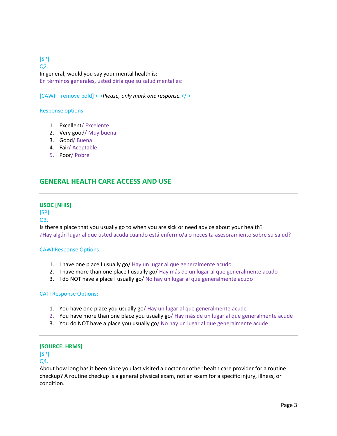[SP] Q2. In general, would you say your mental health is: En términos generales, usted diría que su salud mental es:

[CAWI – remove bold] <i>*Please, only mark one response.*</i>

#### Response options:

- 1. Excellent/ Excelente
- 2. Very good/ Muy buena
- 3. Good/ Buena
- 4. Fair/ Aceptable
- 5. Poor/ Pobre

# **GENERAL HEALTH CARE ACCESS AND USE**

#### **USOC [NHIS]**

[SP]

#### Q3.

Is there a place that you usually go to when you are sick or need advice about your health? ¿Hay algún lugar al que usted acuda cuando está enfermo/a o necesita asesoramiento sobre su salud?

#### CAWI Response Options:

- 1. I have one place I usually go/ Hay un lugar al que generalmente acudo
- 2. I have more than one place I usually go/ Hay más de un lugar al que generalmente acudo
- 3. I do NOT have a place I usually go/ No hay un lugar al que generalmente acudo

#### CATI Response Options:

- 1. You have one place you usually go/ Hay un lugar al que generalmente acude
- 2. You have more than one place you usually go/ Hay más de un lugar al que generalmente acude
- 3. You do NOT have a place you usually go/ No hay un lugar al que generalmente acude

#### **[SOURCE: HRMS]**

# [SP]

## Q4.

About how long has it been since you last visited a doctor or other health care provider for a routine checkup? A routine checkup is a general physical exam, not an exam for a specific injury, illness, or condition.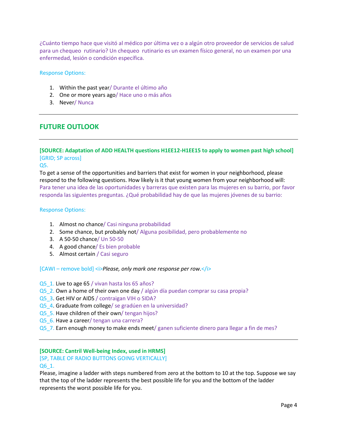¿Cuánto tiempo hace que visitó al médico por última vez o a algún otro proveedor de servicios de salud para un chequeo rutinario? Un chequeo rutinario es un examen físico general, no un examen por una enfermedad, lesión o condición específica.

#### Response Options:

- 1. Within the past year/ Durante el último año
- 2. One or more years ago/ Hace uno o más años
- 3. Never/ Nunca

# **FUTURE OUTLOOK**

# **[SOURCE: Adaptation of ADD HEALTH questions H1EE12-H1EE15 to apply to women past high school]** [GRID; SP across]

#### Q5.

To get a sense of the opportunities and barriers that exist for women in your neighborhood, please respond to the following questions. How likely is it that young women from your neighborhood will: Para tener una idea de las oportunidades y barreras que existen para las mujeres en su barrio, por favor responda las siguientes preguntas. ¿Qué probabilidad hay de que las mujeres jóvenes de su barrio:

#### Response Options:

- 1. Almost no chance/ Casi ninguna probabilidad
- 2. Some chance, but probably not/ Alguna posibilidad, pero probablemente no
- 3. A 50-50 chance/ Un 50-50
- 4. A good chance/ Es bien probable
- 5. Almost certain / Casi seguro

#### [CAWI – remove bold] <i>*Please, only mark one response per row.*</i>

- Q5\_1. Live to age 65 / vivan hasta los 65 años?
- Q5\_2. Own a home of their own one day / algún día puedan comprar su casa propia?
- Q5\_3. Get HIV or AIDS / contraigan VIH o SIDA?
- Q5 4. Graduate from college/ se gradúen en la universidad?
- Q5 5. Have children of their own/ tengan hijos?
- Q5\_6. Have a career/ tengan una carrera?
- Q5 7. Earn enough money to make ends meet/ ganen suficiente dinero para llegar a fin de mes?

#### **[SOURCE: Cantril Well-being Index, used in HRMS]**

# [SP, TABLE OF RADIO BUTTONS GOING VERTICALLY]

#### Q6\_1.

Please, imagine a ladder with steps numbered from zero at the bottom to 10 at the top. Suppose we say that the top of the ladder represents the best possible life for you and the bottom of the ladder represents the worst possible life for you.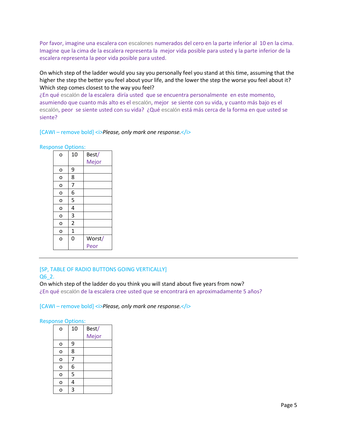Por favor, imagine una escalera con escalones numerados del cero en la parte inferior al 10 en la cima. Imagine que la cima de la escalera representa la mejor vida posible para usted y la parte inferior de la escalera representa la peor vida posible para usted.

On which step of the ladder would you say you personally feel you stand at this time, assuming that the higher the step the better you feel about your life, and the lower the step the worse you feel about it? Which step comes closest to the way you feel?

¿En qué escalón de la escalera diría usted que se encuentra personalmente en este momento, asumiendo que cuanto más alto es el escalón, mejor se siente con su vida, y cuanto más bajo es el escalón, peor se siente usted con su vida? ¿Qué escalón está más cerca de la forma en que usted se siente?

#### [CAWI – remove bold] <i>*Please, only mark one response.*</i>

| ponse Options. |             |        |  |  |  |
|----------------|-------------|--------|--|--|--|
| o              | 10          | Best/  |  |  |  |
|                |             | Mejor  |  |  |  |
| о              | 9           |        |  |  |  |
| o              | 8           |        |  |  |  |
| o              | 7           |        |  |  |  |
| o              | 6           |        |  |  |  |
| o              | 5           |        |  |  |  |
| o              | 4           |        |  |  |  |
| o              | 3           |        |  |  |  |
| o              | 2           |        |  |  |  |
| o              | $\mathbf 1$ |        |  |  |  |
| $\overline{O}$ | 0           | Worst/ |  |  |  |
|                |             | Peor   |  |  |  |
|                |             |        |  |  |  |

# Response Options:

#### [SP, TABLE OF RADIO BUTTONS GOING VERTICALLY] Q6\_2.

On which step of the ladder do you think you will stand about five years from now? ¿En qué escalón de la escalera cree usted que se encontrará en aproximadamente 5 años?

#### [CAWI – remove bold] *< Please, only mark one response.*

#### Response Options:

| o | 10 | Best/ |  |
|---|----|-------|--|
|   |    | Mejor |  |
| о | 9  |       |  |
| o | 8  |       |  |
| O | 7  |       |  |
| o | 6  |       |  |
| o | 5  |       |  |
| o | 4  |       |  |
| C | 3  |       |  |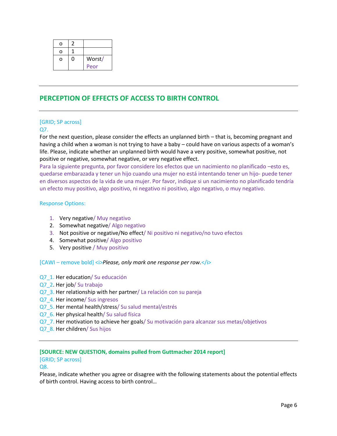| ი |   |        |
|---|---|--------|
| ი |   |        |
| ი | 0 | Worst/ |
|   |   | Peor   |

# **PERCEPTION OF EFFECTS OF ACCESS TO BIRTH CONTROL**

# [GRID; SP across]

# Q7.

For the next question, please consider the effects an unplanned birth – that is, becoming pregnant and having a child when a woman is not trying to have a baby – could have on various aspects of a woman's life. Please, indicate whether an unplanned birth would have a very positive, somewhat positive, not positive or negative, somewhat negative, or very negative effect.

Para la siguiente pregunta, por favor considere los efectos que un nacimiento no planificado –esto es, quedarse embarazada y tener un hijo cuando una mujer no está intentando tener un hijo- puede tener en diversos aspectos de la vida de una mujer. Por favor, indique si un nacimiento no planificado tendría un efecto muy positivo, algo positivo, ni negativo ni positivo, algo negativo, o muy negativo.

# Response Options:

- 1. Very negative/ Muy negativo
- 2. Somewhat negative/ Algo negativo
- 3. Not positive or negative/No effect/ Ni positivo ni negativo/no tuvo efectos
- 4. Somewhat positive/ Algo positivo
- 5. Very positive / Muy positivo

[CAWI – remove bold] <i>*Please, only mark one response per row.*</i>

- Q7 1. Her education/ Su educación
- Q7 2. Her job/ Su trabajo
- Q7\_3. Her relationship with her partner/ La relación con su pareja
- Q7\_4. Her income/ Sus ingresos
- Q7\_5. Her mental health/stress/ Su salud mental/estrés
- Q7\_6. Her physical health/ Su salud física
- Q7\_7. Her motivation to achieve her goals/ Su motivación para alcanzar sus metas/objetivos
- Q7\_8. Her children/ Sus hijos

# **[SOURCE: NEW QUESTION, domains pulled from Guttmacher 2014 report]**

# [GRID; SP across]

Q8.

Please, indicate whether you agree or disagree with the following statements about the potential effects of birth control. Having access to birth control…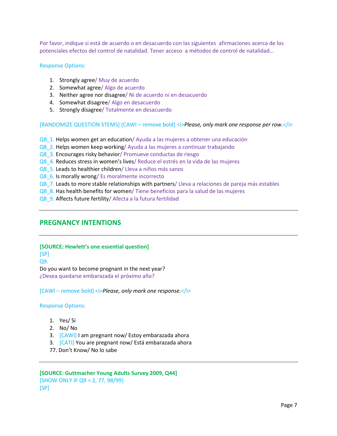Por favor, indique si está de acuerdo o en desacuerdo con las siguientes afirmaciones acerca de los potenciales efectos del control de natalidad. Tener acceso a métodos de control de natalidad…

#### Response Options:

- 1. Strongly agree/ Muy de acuerdo
- 2. Somewhat agree/ Algo de acuerdo
- 3. Neither agree nor disagree/ Ni de acuerdo ni en desacuerdo
- 4. Somewhat disagree/ Algo en desacuerdo
- 5. Strongly disagree/ Totalmente en desacuerdo

[RANDOMIZE QUESTION STEMS] [CAWI – remove bold] <i>*Please, only mark one response per row.*</i>

- Q8\_1. Helps women get an education/ Ayuda a las mujeres a obtener una educación
- Q8\_2. Helps women keep working/ Ayuda a las mujeres a continuar trabajando
- Q8\_3. Encourages risky behavior/ Promueve conductas de riesgo
- Q8\_4. Reduces stress in women's lives/ Reduce el estrés en la vida de las mujeres
- Q8\_5. Leads to healthier children/ Lleva a niños más sanos
- Q8 6. Is morally wrong/ Es moralmente incorrecto
- Q8 7. Leads to more stable relationships with partners/ Lleva a relaciones de pareja más estables
- Q8\_8. Has health benefits for women/ Tiene beneficios para la salud de las mujeres
- Q8\_9. Affects future fertility/ Afecta a la futura fertilidad

# **PREGNANCY INTENTIONS**

#### **[SOURCE: Hewlett's one essential question]**

[SP] Q9.

Do you want to become pregnant in the next year? ¿Desea quedarse embarazada el próximo año?

[CAWI – remove bold] <i>*Please, only mark one response.*</i>

#### Response Options:

- 1. Yes/ Sí
- 2. No/ No
- 3. [CAWI] I am pregnant now/ Estoy embarazada ahora
- 3. [CATI] You are pregnant now/ Está embarazada ahora
- 77. Don't Know/ No lo sabe

# **[SOURCE: Guttmacher Young Adults Survey 2009, Q44]** [SHOW ONLY IF Q9 = 2, 77, 98/99] [SP]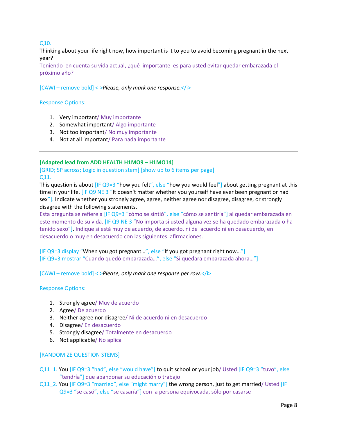Q10.

Thinking about your life right now, how important is it to you to avoid becoming pregnant in the next year?

Teniendo en cuenta su vida actual, ¿qué importante es para usted evitar quedar embarazada el próximo año?

[CAWI – remove bold] *< <i>Please*, only mark one response.

# Response Options:

- 1. Very important/ Muy importante
- 2. Somewhat important/ Algo importante
- 3. Not too important/ No muy importante
- 4. Not at all important/ Para nada importante

# **[Adapted lead from ADD HEALTH H1MO9 – H1MO14]**

[GRID; SP across; Logic in question stem] [show up to 6 items per page] Q11.

This question is about  $[IF Q9=3$  "how you felt", else "how you would feel"] about getting pregnant at this time in your life. [IF Q9 NE 3 "It doesn't matter whether you yourself have ever been pregnant or had sex"]. Indicate whether you strongly agree, agree, neither agree nor disagree, disagree, or strongly disagree with the following statements.

Esta pregunta se refiere a [IF Q9=3 "cómo se sintió", else "cómo se sentiría"] al quedar embarazada en este momento de su vida. [IF Q9 NE 3 "No importa si usted alguna vez se ha quedado embarazada o ha tenido sexo"]. Indique si está muy de acuerdo, de acuerdo, ni de acuerdo ni en desacuerdo, en desacuerdo o muy en desacuerdo con las siguientes afirmaciones.

[IF Q9=3 display "When you got pregnant…", else "If you got pregnant right now…"] [IF Q9=3 mostrar "Cuando quedó embarazada…", else "Si quedara embarazada ahora…"]

[CAWI – remove bold] <i>*Please, only mark one response per row.*</i>

Response Options:

- 1. Strongly agree/ Muy de acuerdo
- 2. Agree/ De acuerdo
- 3. Neither agree nor disagree/ Ni de acuerdo ni en desacuerdo
- 4. Disagree/ En desacuerdo
- 5. Strongly disagree/ Totalmente en desacuerdo
- 6. Not applicable/ No aplica

[RANDOMIZE QUESTION STEMS]

Q11\_1. You [IF Q9=3 "had", else "would have"] to quit school or your job/ Usted [IF Q9=3 "tuvo", else "tendría"] que abandonar su educación o trabajo

Q11\_2. You [IF Q9=3 "married", else "might marry"] the wrong person, just to get married/ Usted [IF Q9=3 "se casó", else "se casaría"] con la persona equivocada, sólo por casarse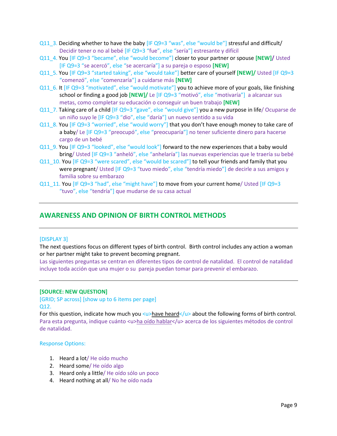- Q11\_3. Deciding whether to have the baby [IF Q9=3 "was", else "would be"] stressful and difficult/ Decidir tener o no al bebé [IF Q9=3 "fue", else "sería"] estresante y difícil
- Q11\_4. You [IF Q9=3 "became", else "would become"] closer to your partner or spouse **[NEW]/** Usted [IF Q9=3 "se acercó", else "se acercaría"] a su pareja o esposo **[NEW]**
- Q11\_5. You [IF Q9=3 "started taking", else "would take"] better care of yourself **[NEW]/** Usted [IF Q9=3 "comenzó", else "comenzaría"] a cuidarse más **[NEW]**
- Q11\_6. It [IF Q9=3 "motivated", else "would motivate"] you to achieve more of your goals, like finishing school or finding a good job **[NEW]/** Le [IF Q9=3 "motivó", else "motivaría"] a alcanzar sus metas, como completar su educación o conseguir un buen trabajo **[NEW]**
- Q11\_7. Taking care of a child [IF Q9=3 "gave", else "would give"] you a new purpose in life/ Ocuparse de un niño suyo le [IF Q9=3 "dio", else "daría"] un nuevo sentido a su vida
- Q11\_8. You [IF Q9=3 "worried", else "would worry"] that you don't have enough money to take care of a baby/ Le [IF Q9=3 "preocupó", else "preocuparía"] no tener suficiente dinero para hacerse cargo de un bebé
- Q11\_9. You [IF Q9=3 "looked", else "would look"] forward to the new experiences that a baby would bring/ Usted [IF Q9=3 "anheló", else "anhelaría"] las nuevas experiencias que le traería su bebé
- Q11\_10. You [IF Q9=3 "were scared", else "would be scared"] to tell your friends and family that you were pregnant/ Usted [IF Q9=3 "tuvo miedo", else "tendría miedo"] de decirle a sus amigos y familia sobre su embarazo
- Q11\_11. You  $[IF Q9=3$  "had", else "might have"] to move from your current home/ Usted  $[IF Q9=3]$ "tuvo", else "tendría"] que mudarse de su casa actual

# **AWARENESS AND OPINION OF BIRTH CONTROL METHODS**

# [DISPLAY 3]

The next questions focus on different types of birth control. Birth control includes any action a woman or her partner might take to prevent becoming pregnant.

Las siguientes preguntas se centran en diferentes tipos de control de natalidad. El control de natalidad incluye toda acción que una mujer o su pareja puedan tomar para prevenir el embarazo.

#### **[SOURCE: NEW QUESTION]**

[GRID; SP across] [show up to 6 items per page] Q12.

For this question, indicate how much you <u>have heard</u> about the following forms of birth control. Para esta pregunta, indique cuánto <u>ha oído hablar</u> acerca de los siguientes métodos de control de natalidad.

#### Response Options:

- 1. Heard a lot/ He oído mucho
- 2. Heard some/ He oído algo
- 3. Heard only a little/ He oído sólo un poco
- 4. Heard nothing at all/ No he oído nada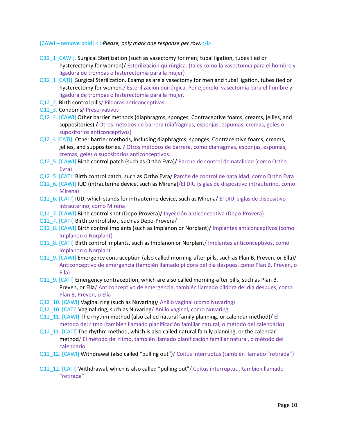- Q12\_1 [CAWI]. Surgical Sterilization (such as vasectomy for men; tubal ligation, tubes tied or hysterectomy for women)/ Esterilización quirúrgica. (tales como la vasectomía para el hombre y ligadura de trompas o histerectomía para la mujer)
- Q12\_1 [CATI]. Surgical Sterilization. Examples are a vasectomy for men and tubal ligation, tubes tied or hysterectomy for women./ Esterilización quirúrgica. Por ejemplo, vasectomía para el hombre y ligadura de trompas o histerectomía para la mujer.
- Q12\_2. Birth control pills/ Píldoras anticonceptivas
- Q12\_3. Condoms/ Preservativos
- Q12\_4. [CAWI] Other barrier methods (diaphragms, sponges, Contraceptive foams, creams, jellies, and suppositories) / Otros métodos de barrera (diafragmas, esponjas, espumas, cremas, geles o supositorios anticonceptivos)
- Q12\_4 [CATI]. Other barrier methods, including diaphragms, sponges, Contraceptive foams, creams, jellies, and suppositories. / Otros métodos de barrera, como diafragmas, esponjas, espumas, cremas, geles o supositorios anticonceptivos.
- Q12\_5. [CAWI] Birth control patch (such as Ortho Evra)/ Parche de control de natalidad (como Ortho Evra)
- Q12\_5. [CATI] Birth control patch, such as Ortho Evra/ Parche de control de natalidad, como Ortho Evra
- Q12\_6. [CAWI] IUD (intrauterine device, such as Mirena)/El DIU (siglas de dispositivo intrauterino, como Mirena)
- Q12\_6. [CATI] IUD, which stands for intrauterine device, such as Mirena/ El DIU, siglas de dispositivo intrauterino, como Mirena
- Q12\_7. [CAWI] Birth control shot (Depo-Provera)/ Inyección anticonceptiva (Depo-Provera)
- Q12\_7. [CATI] Birth control shot, such as Depo-Provera/
- Q12\_8. [CAWI] Birth control implants (such as Implanon or Norplant)/ Implantes anticonceptivos (como Implanon o Norplant)
- Q12\_8. [CATI] Birth control implants, such as Implanon or Norplant/ Implantes anticonceptivos, como Implanon o Norplant
- Q12\_9. [CAWI] Emergency contraception (also called morning-after pills, such as Plan B, Preven, or Ella)/ Anticonceptivo de emergencia (también llamado píldora del día despues, como Plan B, Preven, o Ella)
- Q12\_9. [CATI] Emergency contraception, which are also called morning-after pills, such as Plan B, Preven, or Ella/ Anticonceptivo de emergencia, también llamado píldora del día despues, como Plan B, Preven, o Ella
- Q12\_10. [CAWI] Vaginal ring (such as Nuvaring)/ Anillo vaginal (como Nuvaring)
- Q12\_10. [CATI] Vaginal ring, such as Nuvaring/ Anillo vaginal, como Nuvaring
- Q12\_11. [CAWI] The rhythm method (also called natural family planning, or calendar method)/ El método del ritmo (también llamado planificación familiar natural, o método del calendario)
- Q12\_11. [CATI] The rhythm method, which is also called natural family planning, or the calendar method/ El método del ritmo, también llamado planificación familiar natural, o método del calendario
- Q12\_12. [CAWI] Withdrawal (also called "pulling out")/ Coitus interruptus (también llamado "retirada")
- Q12\_12. [CATI] Withdrawal, which is also called "pulling out"/ Coitus interruptus , también llamado "retirada"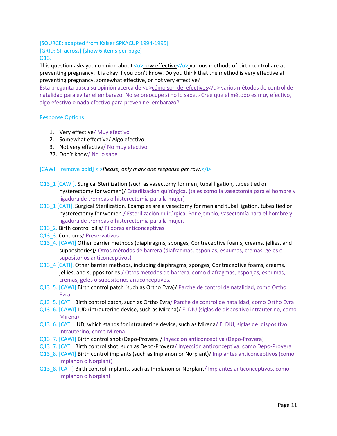[SOURCE: adapted from Kaiser SPKACUP 1994-1995] [GRID; SP across] [show 6 items per page] Q13.

This question asks your opinion about <u>how effective</u></>>> various methods of birth control are at preventing pregnancy. It is okay if you don't know. Do you think that the method is very effective at preventing pregnancy, somewhat effective, or not very effective?

Esta pregunta busca su opinión acerca de <u>cómo son de efectivos</u> varios métodos de control de natalidad para evitar el embarazo. No se preocupe si no lo sabe. ¿Cree que el método es muy efectivo, algo efectivo o nada efectivo para prevenir el embarazo?

# Response Options:

- 1. Very effective/ Muy efectivo
- 2. Somewhat effective/ Algo efectivo
- 3. Not very effective/ No muy efectivo
- 77. Don't know/ No lo sabe

- Q13\_1 [CAWI]. Surgical Sterilization (such as vasectomy for men; tubal ligation, tubes tied or hysterectomy for women)/ Esterilización quirúrgica. (tales como la vasectomía para el hombre y ligadura de trompas o histerectomía para la mujer)
- Q13\_1 [CATI]. Surgical Sterilization. Examples are a vasectomy for men and tubal ligation, tubes tied or hysterectomy for women./ Esterilización quirúrgica. Por ejemplo, vasectomía para el hombre y ligadura de trompas o histerectomía para la mujer.
- Q13\_2. Birth control pills/ Píldoras anticonceptivas
- Q13\_3. Condoms/ Preservativos
- Q13\_4. [CAWI] Other barrier methods (diaphragms, sponges, Contraceptive foams, creams, jellies, and suppositories)/ Otros métodos de barrera (diafragmas, esponjas, espumas, cremas, geles o supositorios anticonceptivos)
- Q13\_4 [CATI]. Other barrier methods, including diaphragms, sponges, Contraceptive foams, creams, jellies, and suppositories./ Otros métodos de barrera, como diafragmas, esponjas, espumas, cremas, geles o supositorios anticonceptivos.
- Q13\_5. [CAWI] Birth control patch (such as Ortho Evra)/ Parche de control de natalidad, como Ortho Evra
- Q13\_5. [CATI] Birth control patch, such as Ortho Evra/ Parche de control de natalidad, como Ortho Evra
- Q13\_6. [CAWI] IUD (intrauterine device, such as Mirena)/ El DIU (siglas de dispositivo intrauterino, como Mirena)
- Q13\_6. [CATI] IUD, which stands for intrauterine device, such as Mirena/ El DIU, siglas de dispositivo intrauterino, como Mirena
- Q13\_7. [CAWI] Birth control shot (Depo-Provera)/ Inyección anticonceptiva (Depo-Provera)
- Q13\_7. [CATI] Birth control shot, such as Depo-Provera/ Inyección anticonceptiva, como Depo-Provera
- Q13\_8. [CAWI] Birth control implants (such as Implanon or Norplant)/ Implantes anticonceptivos (como Implanon o Norplant)
- Q13\_8. [CATI] Birth control implants, such as Implanon or Norplant/ Implantes anticonceptivos, como Implanon o Norplant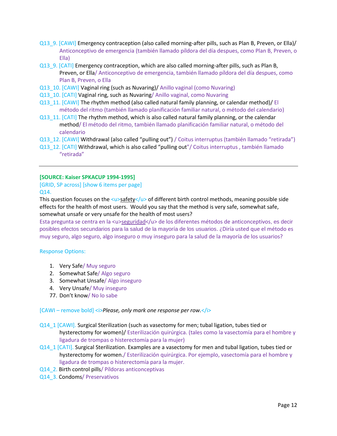- Q13\_9. [CAWI] Emergency contraception (also called morning-after pills, such as Plan B, Preven, or Ella)/ Anticonceptivo de emergencia (también llamado píldora del día despues, como Plan B, Preven, o Ella)
- Q13\_9. [CATI] Emergency contraception, which are also called morning-after pills, such as Plan B, Preven, or Ella/ Anticonceptivo de emergencia, también llamado píldora del día despues, como Plan B, Preven, o Ella
- Q13\_10. [CAWI] Vaginal ring (such as Nuvaring)/ Anillo vaginal (como Nuvaring)
- Q13\_10. [CATI] Vaginal ring, such as Nuvaring/ Anillo vaginal, como Nuvaring
- Q13\_11. [CAWI] The rhythm method (also called natural family planning, or calendar method)/ El método del ritmo (también llamado planificación familiar natural, o método del calendario)
- Q13\_11. [CATI] The rhythm method, which is also called natural family planning, or the calendar method/ El método del ritmo, también llamado planificación familiar natural, o método del calendario
- Q13\_12. [CAWI] Withdrawal (also called "pulling out") / Coitus interruptus (también llamado "retirada")
- Q13\_12. [CATI] Withdrawal, which is also called "pulling out"/ Coitus interruptus , también llamado "retirada"

#### **[SOURCE: Kaiser SPKACUP 1994-1995]**

# [GRID, SP across] [show 6 items per page] Q14.

This question focuses on the <u>safety</u></a> of different birth control methods, meaning possible side effects for the health of most users. Would you say that the method is very safe, somewhat safe, somewhat unsafe or very unsafe for the health of most users?

Esta pregunta se centra en la <u>seguridad</u> de los diferentes métodos de anticonceptivos, es decir posibles efectos secundarios para la salud de la mayoría de los usuarios. ¿Diría usted que el método es muy seguro, algo seguro, algo inseguro o muy inseguro para la salud de la mayoría de los usuarios?

# Response Options:

- 1. Very Safe/ Muy seguro
- 2. Somewhat Safe/ Algo seguro
- 3. Somewhat Unsafe/ Algo inseguro
- 4. Very Unsafe/ Muy inseguro
- 77. Don't know/ No lo sabe

- Q14\_1 [CAWI]. Surgical Sterilization (such as vasectomy for men; tubal ligation, tubes tied or hysterectomy for women)/ Esterilización quirúrgica. (tales como la vasectomía para el hombre y ligadura de trompas o histerectomía para la mujer)
- Q14\_1 [CATI]. Surgical Sterilization. Examples are a vasectomy for men and tubal ligation, tubes tied or hysterectomy for women./ Esterilización quirúrgica. Por ejemplo, vasectomía para el hombre y ligadura de trompas o histerectomía para la mujer.
- Q14\_2. Birth control pills/ Píldoras anticonceptivas
- Q14\_3. Condoms/ Preservativos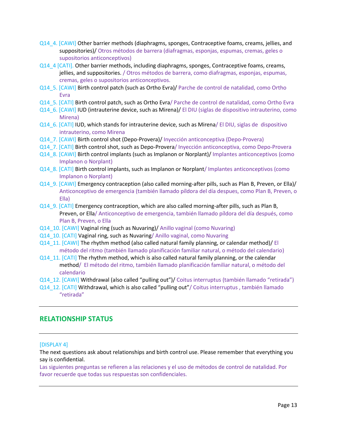- Q14\_4. [CAWI] Other barrier methods (diaphragms, sponges, Contraceptive foams, creams, jellies, and suppositories)/ Otros métodos de barrera (diafragmas, esponjas, espumas, cremas, geles o supositorios anticonceptivos)
- Q14\_4 [CATI]. Other barrier methods, including diaphragms, sponges, Contraceptive foams, creams, jellies, and suppositories. / Otros métodos de barrera, como diafragmas, esponjas, espumas, cremas, geles o supositorios anticonceptivos.
- Q14\_5. [CAWI] Birth control patch (such as Ortho Evra)/ Parche de control de natalidad, como Ortho Evra
- Q14\_5. [CATI] Birth control patch, such as Ortho Evra/ Parche de control de natalidad, como Ortho Evra
- Q14\_6. [CAWI] IUD (intrauterine device, such as Mirena)/ El DIU (siglas de dispositivo intrauterino, como Mirena)
- Q14\_6. [CATI] IUD, which stands for intrauterine device, such as Mirena/ El DIU, siglas de dispositivo intrauterino, como Mirena
- Q14\_7. [CAWI] Birth control shot (Depo-Provera)/ Inyección anticonceptiva (Depo-Provera)
- Q14\_7. [CATI] Birth control shot, such as Depo-Provera/ Inyección anticonceptiva, como Depo-Provera
- Q14\_8. [CAWI] Birth control implants (such as Implanon or Norplant)/ Implantes anticonceptivos (como Implanon o Norplant)
- Q14\_8. [CATI] Birth control implants, such as Implanon or Norplant/ Implantes anticonceptivos (como Implanon o Norplant)
- Q14\_9. [CAWI] Emergency contraception (also called morning-after pills, such as Plan B, Preven, or Ella)/ Anticonceptivo de emergencia (también llamado píldora del día despues, como Plan B, Preven, o Ella)
- Q14\_9. [CATI] Emergency contraception, which are also called morning-after pills, such as Plan B, Preven, or Ella/ Anticonceptivo de emergencia, también llamado píldora del día después, como Plan B, Preven, o Ella
- Q14\_10. [CAWI] Vaginal ring (such as Nuvaring)/ Anillo vaginal (como Nuvaring)
- Q14\_10. [CATI] Vaginal ring, such as Nuvaring/ Anillo vaginal, como Nuvaring
- Q14\_11. [CAWI] The rhythm method (also called natural family planning, or calendar method)/ El método del ritmo (también llamado planificación familiar natural, o método del calendario)
- Q14\_11. [CATI] The rhythm method, which is also called natural family planning, or the calendar method/ El método del ritmo, también llamado planificación familiar natural, o método del calendario
- Q14\_12. [CAWI] Withdrawal (also called "pulling out")/ Coitus interruptus (también llamado "retirada")
- Q14\_12. [CATI] Withdrawal, which is also called "pulling out"/ Coitus interruptus , también llamado "retirada"

# **RELATIONSHIP STATUS**

# [DISPLAY 4]

The next questions ask about relationships and birth control use. Please remember that everything you say is confidential.

Las siguientes preguntas se refieren a las relaciones y el uso de métodos de control de natalidad. Por favor recuerde que todas sus respuestas son confidenciales.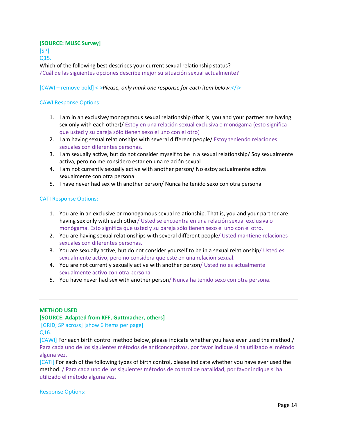# **[SOURCE: MUSC Survey]**

[SP]

Q15.

Which of the following best describes your current sexual relationship status? ¿Cuál de las siguientes opciones describe mejor su situación sexual actualmente?

# [CAWI – remove bold] <i>*Please, only mark one response for each item below.*</i>

# CAWI Response Options:

- 1. I am in an exclusive/monogamous sexual relationship (that is, you and your partner are having sex only with each other)/ Estoy en una relación sexual exclusiva o monógama (esto significa que usted y su pareja sólo tienen sexo el uno con el otro)
- 2. I am having sexual relationships with several different people/ Estoy teniendo relaciones sexuales con diferentes personas.
- 3. I am sexually active, but do not consider myself to be in a sexual relationship/ Soy sexualmente activa, pero no me considero estar en una relación sexual
- 4. I am not currently sexually active with another person/ No estoy actualmente activa sexualmente con otra persona
- 5. I have never had sex with another person/ Nunca he tenido sexo con otra persona

# CATI Response Options:

- 1. You are in an exclusive or monogamous sexual relationship. That is, you and your partner are having sex only with each other/ Usted se encuentra en una relación sexual exclusiva o monógama. Esto significa que usted y su pareja sólo tienen sexo el uno con el otro.
- 2. You are having sexual relationships with several different people/ Usted mantiene relaciones sexuales con diferentes personas.
- 3. You are sexually active, but do not consider yourself to be in a sexual relationship/ Usted es sexualmente activo, pero no considera que esté en una relación sexual.
- 4. You are not currently sexually active with another person/ Usted no es actualmente sexualmente activo con otra persona
- 5. You have never had sex with another person/ Nunca ha tenido sexo con otra persona.

# **METHOD USED**

# **[SOURCE: Adapted from KFF, Guttmacher, others]**

[GRID; SP across] [show 6 items per page]

Q16.

[CAWI] For each birth control method below, please indicate whether you have ever used the method./ Para cada uno de los siguientes métodos de anticonceptivos, por favor indique si ha utilizado el método alguna vez.

[CATI] For each of the following types of birth control, please indicate whether you have ever used the method. / Para cada uno de los siguientes métodos de control de natalidad, por favor indique si ha utilizado el método alguna vez.

Response Options: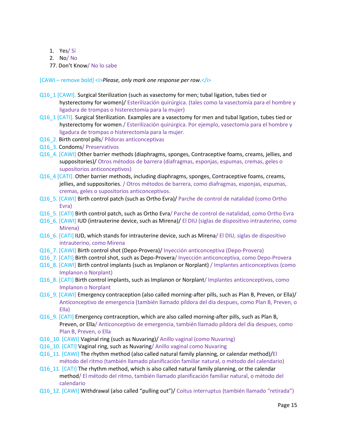- 1. Yes/ Sí
- 2. No/ No
- 77. Don't Know/ No lo sabe
- [CAWI remove bold] <i>*Please, only mark one response per row.*</i>
- Q16\_1 [CAWI]. Surgical Sterilization (such as vasectomy for men; tubal ligation, tubes tied or hysterectomy for women)/ Esterilización quirúrgica. (tales como la vasectomía para el hombre y ligadura de trompas o histerectomía para la mujer)
- Q16\_1 [CATI]. Surgical Sterilization. Examples are a vasectomy for men and tubal ligation, tubes tied or hysterectomy for women./ Esterilización quirúrgica. Por ejemplo, vasectomía para el hombre y ligadura de trompas o histerectomía para la mujer.
- Q16 2. Birth control pills/ Píldoras anticonceptivas
- Q16 3. Condoms/ Preservativos
- Q16\_4. [CAWI] Other barrier methods (diaphragms, sponges, Contraceptive foams, creams, jellies, and suppositories)/ Otros métodos de barrera (diafragmas, esponjas, espumas, cremas, geles o supositorios anticonceptivos)
- Q16\_4 [CATI]. Other barrier methods, including diaphragms, sponges, Contraceptive foams, creams, jellies, and suppositories. / Otros métodos de barrera, como diafragmas, esponjas, espumas, cremas, geles o supositorios anticonceptivos.
- Q16\_5. [CAWI] Birth control patch (such as Ortho Evra)/ Parche de control de natalidad (como Ortho Evra)
- Q16\_5. [CATI] Birth control patch, such as Ortho Evra/ Parche de control de natalidad, como Ortho Evra
- Q16\_6. [CAWI] IUD (intrauterine device, such as Mirena)/ El DIU (siglas de dispositivo intrauterino, como Mirena)
- Q16\_6. [CATI] IUD, which stands for intrauterine device, such as Mirena/ El DIU, siglas de dispositivo intrauterino, como Mirena
- Q16\_7. [CAWI] Birth control shot (Depo-Provera)/ Inyección anticonceptiva (Depo-Provera)
- Q16\_7. [CATI] Birth control shot, such as Depo-Provera/ Inyección anticonceptiva, como Depo-Provera
- Q16\_8. [CAWI] Birth control implants (such as Implanon or Norplant) / Implantes anticonceptivos (como Implanon o Norplant)
- Q16\_8. [CATI] Birth control implants, such as Implanon or Norplant/ Implantes anticonceptivos, como Implanon o Norplant
- Q16\_9. [CAWI] Emergency contraception (also called morning-after pills, such as Plan B, Preven, or Ella)/ Anticonceptivo de emergencia (también llamado píldora del día despues, como Plan B, Preven, o Ella)
- Q16 9. [CATI] Emergency contraception, which are also called morning-after pills, such as Plan B, Preven, or Ella/ Anticonceptivo de emergencia, también llamado píldora del día despues, como Plan B, Preven, o Ella
- Q16\_10. [CAWI] Vaginal ring (such as Nuvaring)/ Anillo vaginal (como Nuvaring)
- Q16\_10. [CATI] Vaginal ring, such as Nuvaring/ Anillo vaginal como Nuvaring
- Q16\_11. [CAWI] The rhythm method (also called natural family planning, or calendar method)/El método del ritmo (también llamado planificación familiar natural, o método del calendario)
- Q16\_11. [CATI] The rhythm method, which is also called natural family planning, or the calendar method/ El método del ritmo, también llamado planificación familiar natural, o método del calendario
- Q16\_12. [CAWI] Withdrawal (also called "pulling out")/ Coitus interruptus (también llamado "retirada")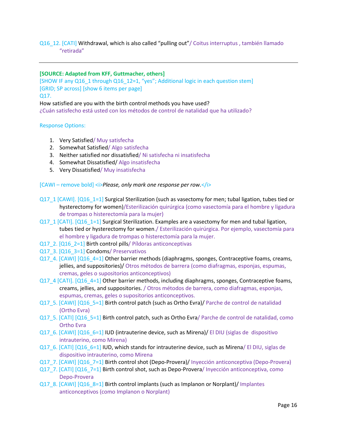# Q16\_12. [CATI] Withdrawal, which is also called "pulling out"/ Coitus interruptus , también llamado "retirada"

# **[SOURCE: Adapted from KFF, Guttmacher, others]**

[SHOW IF any Q16\_1 through Q16\_12=1, "yes"; Additional logic in each question stem] [GRID; SP across] [show 6 items per page] Q17.

How satisfied are you with the birth control methods you have used?

¿Cuán satisfecho está usted con los métodos de control de natalidad que ha utilizado?

# Response Options:

- 1. Very Satisfied/ Muy satisfecha
- 2. Somewhat Satisfied/ Algo satisfecha
- 3. Neither satisfied nor dissatisfied/ Ni satisfecha ni insatisfecha
- 4. Somewhat Dissatisfied/ Algo insatisfecha
- 5. Very Dissatisfied/ Muy insatisfecha

- Q17\_1 [CAWI]. [Q16\_1=1] Surgical Sterilization (such as vasectomy for men; tubal ligation, tubes tied or hysterectomy for women)/Esterilización quirúrgica (como vasectomía para el hombre y ligadura de trompas o histerectomía para la mujer)
- Q17\_1 [CATI]. [Q16\_1=1] Surgical Sterilization. Examples are a vasectomy for men and tubal ligation, tubes tied or hysterectomy for women./ Esterilización quirúrgica. Por ejemplo, vasectomía para el hombre y ligadura de trompas o histerectomía para la mujer.
- Q17 2. [Q16, 2=1] Birth control pills/ Píldoras anticonceptivas
- Q17\_3. [Q16\_3=1] Condoms/ Preservativos
- Q17\_4. [CAWI] [Q16\_4=1] Other barrier methods (diaphragms, sponges, Contraceptive foams, creams, jellies, and suppositories)/ Otros métodos de barrera (como diafragmas, esponjas, espumas, cremas, geles o supositorios anticonceptivos)
- Q17\_4 [CATI]. [Q16\_4=1] Other barrier methods, including diaphragms, sponges, Contraceptive foams, creams, jellies, and suppositories. / Otros métodos de barrera, como diafragmas, esponjas, espumas, cremas, geles o supositorios anticonceptivos.
- Q17\_5. [CAWI] [Q16\_5=1] Birth control patch (such as Ortho Evra)/ Parche de control de natalidad (Ortho Evra)
- Q17\_5. [CATI]  $[Q16_5=1]$  Birth control patch, such as Ortho Evra/ Parche de control de natalidad, como Ortho Evra
- Q17\_6. [CAWI] [Q16\_6=1] IUD (intrauterine device, such as Mirena)/ El DIU (siglas de dispositivo intrauterino, como Mirena)
- Q17\_6. [CATI] [Q16\_6=1] IUD, which stands for intrauterine device, such as Mirena/ El DIU, siglas de dispositivo intrauterino, como Mirena
- Q17\_7. [CAWI] [Q16\_7=1] Birth control shot (Depo-Provera)/ Inyección anticonceptiva (Depo-Provera)
- Q17\_7. [CATI] [Q16\_7=1] Birth control shot, such as Depo-Provera/ Inyección anticonceptiva, como Depo-Provera
- Q17\_8. [CAWI] [Q16\_8=1] Birth control implants (such as Implanon or Norplant)/ Implantes anticonceptivos (como Implanon o Norplant)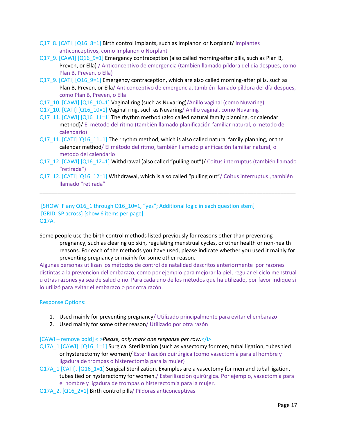- Q17\_8. [CATI] [Q16\_8=1] Birth control implants, such as Implanon or Norplant/ Implantes anticonceptivos, como Implanon o Norplant
- Q17\_9. [CAWI] [Q16\_9=1] Emergency contraception (also called morning-after pills, such as Plan B, Preven, or Ella) / Anticonceptivo de emergencia (también llamado píldora del día despues, como Plan B, Preven, o Ella)
- Q17\_9. [CATI] [Q16\_9=1] Emergency contraception, which are also called morning-after pills, such as Plan B, Preven, or Ella/ Anticonceptivo de emergencia, también llamado píldora del día despues, como Plan B, Preven, o Ella
- Q17\_10. [CAWI] [Q16\_10=1] Vaginal ring (such as Nuvaring)/Anillo vaginal (como Nuvaring)
- Q17\_10. [CATI] [Q16\_10=1] Vaginal ring, such as Nuvaring/ Anillo vaginal, como Nuvaring
- Q17\_11. [CAWI] [Q16\_11=1] The rhythm method (also called natural family planning, or calendar method)/ El método del ritmo (también llamado planificación familiar natural, o método del calendario)
- Q17\_11.  $[CAT1]$   $[Q16]$  11=1] The rhythm method, which is also called natural family planning, or the calendar method/ El método del ritmo, también llamado planificación familiar natural, o método del calendario
- Q17\_12. [CAWI] [Q16\_12=1] Withdrawal (also called "pulling out")/ Coitus interruptus (también llamado "retirada")
- Q17\_12. [CATI] [Q16\_12=1] Withdrawal, which is also called "pulling out"/ Coitus interruptus , también llamado "retirada"

\_\_\_\_\_\_\_\_\_\_\_\_\_\_\_\_\_\_\_\_\_\_\_\_\_\_\_\_\_\_\_\_\_\_\_\_\_\_\_\_\_\_\_\_\_\_\_\_\_\_\_\_\_\_\_\_\_\_\_\_\_\_\_\_\_\_\_\_\_\_\_\_\_\_\_\_\_\_\_\_\_\_\_\_\_

# [SHOW IF any Q16\_1 through Q16\_10=1, "yes"; Additional logic in each question stem] [GRID; SP across] [show 6 items per page] Q17A.

Some people use the birth control methods listed previously for reasons other than preventing pregnancy, such as clearing up skin, regulating menstrual cycles, or other health or non-health reasons. For each of the methods you have used, please indicate whether you used it mainly for preventing pregnancy or mainly for some other reason.

Algunas personas utilizan los métodos de control de natalidad descritos anteriormente por razones distintas a la prevención del embarazo, como por ejemplo para mejorar la piel, regular el ciclo menstrual u otras razones ya sea de salud o no. Para cada uno de los métodos que ha utilizado, por favor indique si lo utilizó para evitar el embarazo o por otra razón.

#### Response Options:

- 1. Used mainly for preventing pregnancy/ Utilizado principalmente para evitar el embarazo
- 2. Used mainly for some other reason/ Utilizado por otra razón

- Q17A\_1 [CAWI]. [Q16\_1=1] Surgical Sterilization (such as vasectomy for men; tubal ligation, tubes tied or hysterectomy for women)/ Esterilización quirúrgica (como vasectomía para el hombre y ligadura de trompas o histerectomía para la mujer)
- Q17A\_1 [CATI]. [Q16\_1=1] Surgical Sterilization. Examples are a vasectomy for men and tubal ligation, tubes tied or hysterectomy for women./ Esterilización quirúrgica. Por ejemplo, vasectomía para el hombre y ligadura de trompas o histerectomía para la mujer.
- Q17A 2. [Q16 2=1] Birth control pills/ Píldoras anticonceptivas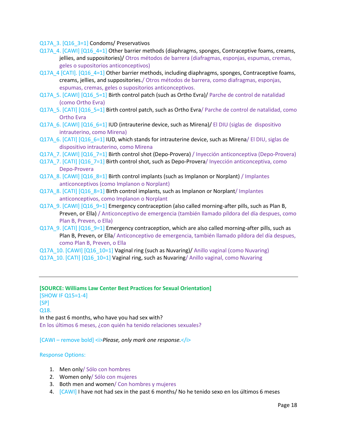Q17A 3. [Q16 3=1] Condoms/ Preservativos

- Q17A\_4. [CAWI] [Q16\_4=1] Other barrier methods (diaphragms, sponges, Contraceptive foams, creams, jellies, and suppositories)/ Otros métodos de barrera (diafragmas, esponjas, espumas, cremas, geles o supositorios anticonceptivos)
- Q17A  $4$  [CATI]. [Q16  $4=1$ ] Other barrier methods, including diaphragms, sponges, Contraceptive foams, creams, jellies, and suppositories./ Otros métodos de barrera, como diafragmas, esponjas, espumas, cremas, geles o supositorios anticonceptivos.
- Q17A\_5. [CAWI] [Q16\_5=1] Birth control patch (such as Ortho Evra)/ Parche de control de natalidad (como Ortho Evra)
- Q17A\_5. [CATI] [Q16\_5=1] Birth control patch, such as Ortho Evra/ Parche de control de natalidad, como Ortho Evra
- Q17A 6. [CAWI] [Q16 6=1] **IUD (intrauterine device, such as Mirena)/** El DIU (siglas de dispositivo intrauterino, como Mirena)
- Q17A 6. [CATI] [Q16 6=1] IUD, which stands for intrauterine device, such as Mirena/ El DIU, siglas de dispositivo intrauterino, como Mirena
- Q17A 7. [CAWI] [Q16 7=1] Birth control shot (Depo-Provera) / Inyección anticonceptiva (Depo-Provera)
- Q17A\_7. [CATI] [Q16\_7=1] Birth control shot, such as Depo-Provera/ Inyección anticonceptiva, como Depo-Provera
- Q17A 8. [CAWI] [Q16 8=1] Birth control implants (such as Implanon or Norplant) / Implantes anticonceptivos (como Implanon o Norplant)
- Q17A 8. [CATI] [Q16 8=1] Birth control implants, such as Implanon or Norplant/ Implantes anticonceptivos, como Implanon o Norplant
- Q17A\_9. [CAWI] [Q16\_9=1] Emergency contraception (also called morning-after pills, such as Plan B, Preven, or Ella) / Anticonceptivo de emergencia (también llamado píldora del día despues, como Plan B, Preven, o Ella)
- Q17A\_9. [CATI] [Q16\_9=1] Emergency contraception, which are also called morning-after pills, such as Plan B, Preven, or Ella/ Anticonceptivo de emergencia, también llamado píldora del día despues, como Plan B, Preven, o Ella
- Q17A\_10. [CAWI] [Q16\_10=1] Vaginal ring (such as Nuvaring)/ Anillo vaginal (como Nuvaring)
- Q17A\_10. [CATI] [Q16\_10=1] Vaginal ring, such as Nuvaring/ Anillo vaginal, como Nuvaring

# **[SOURCE: Williams Law Center Best Practices for Sexual Orientation]** [SHOW IF Q15=1-4] [SP] Q18. In the past 6 months, who have you had sex with? En los últimos 6 meses, ¿con quién ha tenido relaciones sexuales?

[CAWI – remove bold] <i>*Please, only mark one response.*</i>

#### Response Options:

- 1. Men only/ Sólo con hombres
- 2. Women only/ Sólo con mujeres
- 3. Both men and women/ Con hombres y mujeres
- 4. [CAWI] I have not had sex in the past 6 months/ No he tenido sexo en los últimos 6 meses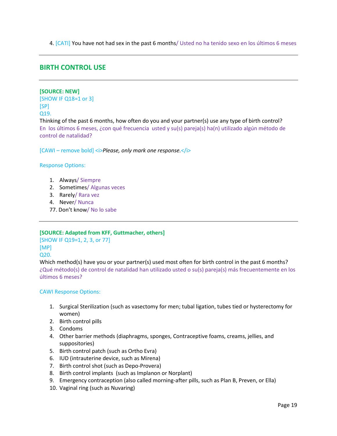4. [CATI] You have not had sex in the past 6 months/ Usted no ha tenido sexo en los últimos 6 meses

# **BIRTH CONTROL USE**

## **[SOURCE: NEW]**

[SHOW IF Q18=1 or 3]  $[SP]$ Q19.

Thinking of the past 6 months, how often do you and your partner(s) use any type of birth control? En los últimos 6 meses, ¿con qué frecuencia usted y su(s) pareja(s) ha(n) utilizado algún método de control de natalidad?

[CAWI – remove bold] *< Please, only mark one response.* 

#### Response Options:

- 1. Always/ Siempre
- 2. Sometimes/ Algunas veces
- 3. Rarely/ Rara vez
- 4. Never/ Nunca
- 77. Don't know/ No lo sabe

#### **[SOURCE: Adapted from KFF, Guttmacher, others]**

[SHOW IF Q19=1, 2, 3, or 77] [MP] Q20.

Which method(s) have you or your partner(s) used most often for birth control in the past 6 months? ¿Qué método(s) de control de natalidad han utilizado usted o su(s) pareja(s) más frecuentemente en los últimos 6 meses?

#### CAWI Response Options:

- 1. Surgical Sterilization (such as vasectomy for men; tubal ligation, tubes tied or hysterectomy for women)
- 2. Birth control pills
- 3. Condoms
- 4. Other barrier methods (diaphragms, sponges, Contraceptive foams, creams, jellies, and suppositories)
- 5. Birth control patch (such as Ortho Evra)
- 6. IUD (intrauterine device, such as Mirena)
- 7. Birth control shot (such as Depo-Provera)
- 8. Birth control implants (such as Implanon or Norplant)
- 9. Emergency contraception (also called morning-after pills, such as Plan B, Preven, or Ella)
- 10. Vaginal ring (such as Nuvaring)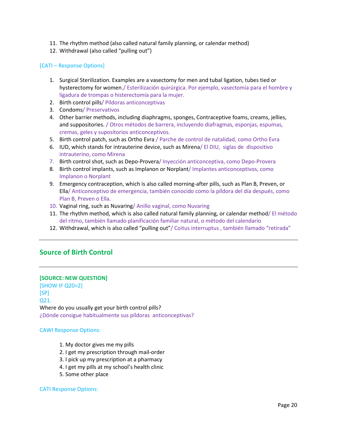- 11. The rhythm method (also called natural family planning, or calendar method)
- 12. Withdrawal (also called "pulling out")

# [CATI – Response Options]

- 1. Surgical Sterilization. Examples are a vasectomy for men and tubal ligation, tubes tied or hysterectomy for women./ Esterilización quirúrgica. Por ejemplo, vasectomía para el hombre y ligadura de trompas o histerectomía para la mujer.
- 2. Birth control pills/ Píldoras anticonceptivas
- 3. Condoms/ Preservativos
- 4. Other barrier methods, including diaphragms, sponges, Contraceptive foams, creams, jellies, and suppositories. / Otros métodos de barrera, incluyendo diafragmas, esponjas, espumas, cremas, geles y supositorios anticonceptivos.
- 5. Birth control patch, such as Ortho Evra / Parche de control de natalidad, como Ortho Evra
- 6. IUD, which stands for intrauterine device, such as Mirena/ El DIU, siglas de dispositivo intrauterino, como Mirena
- 7. Birth control shot, such as Depo-Provera/ Inyección anticonceptiva, como Depo-Provera
- 8. Birth control implants, such as Implanon or Norplant/ Implantes anticonceptivos, como Implanon o Norplant
- 9. Emergency contraception, which is also called morning-after pills, such as Plan B, Preven, or Ella/ Anticonceptivo de emergencia, también conocido como la píldora del día después, como Plan B, Preven o Ella.
- 10. Vaginal ring, such as Nuvaring/ Anillo vaginal, como Nuvaring
- 11. The rhythm method, which is also called natural family planning, or calendar method/ El método del ritmo, también llamado planificación familiar natural, o método del calendario
- 12. Withdrawal, which is also called "pulling out"/ Coitus interruptus , también llamado "retirada"

# **Source of Birth Control**

# **[SOURCE: NEW QUESTION]**

[SHOW IF Q20=2] [SP] Q21. Where do you usually get your birth control pills? ¿Dónde consigue habitualmente sus píldoras anticonceptivas?

# CAWI Response Options:

- 1. My doctor gives me my pills
- 2. I get my prescription through mail-order
- 3. I pick up my prescription at a pharmacy
- 4. I get my pills at my school's health clinic
- 5. Some other place

# CATI Response Options: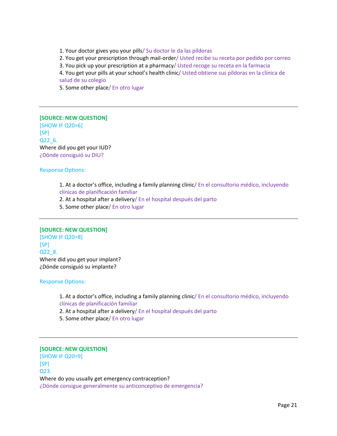1. Your doctor gives you your pills/ Su doctor le da las píldoras 2. You get your prescription through mail-order/ Usted recibe su receta por pedido por correo 3. You pick up your prescription at a pharmacy/ Usted recoge su receta en la farmacia 4. You get your pills at your school's health clinic/ Usted obtiene sus píldoras en la clínica de salud de su colegio 5. Some other place/ En otro lugar

# **[SOURCE: NEW QUESTION]**

[SHOW IF Q20=6] [SP] Q22\_6. Where did you get your IUD? ¿Dónde consiguió su DIU?

Response Options:

1. At a doctor's office, including a family planning clinic/ En el consultorio médico, incluyendo clínicas de planificación familiar

2. At a hospital after a delivery/ En el hospital después del parto

5. Some other place/ En otro lugar

# **[SOURCE: NEW QUESTION]**

[SHOW IF Q20=8] [SP] Q22\_8. Where did you get your implant? ¿Dónde consiguió su implante?

Response Options:

1. At a doctor's office, including a family planning clinic/ En el consultorio médico, incluyendo clínicas de planificación familiar

2. At a hospital after a delivery/ En el hospital después del parto

5. Some other place/ En otro lugar

# **[SOURCE: NEW QUESTION]**

[SHOW IF Q20=9] [SP] Q23. Where do you usually get emergency contraception? ¿Dónde consigue generalmente su anticonceptivo de emergencia?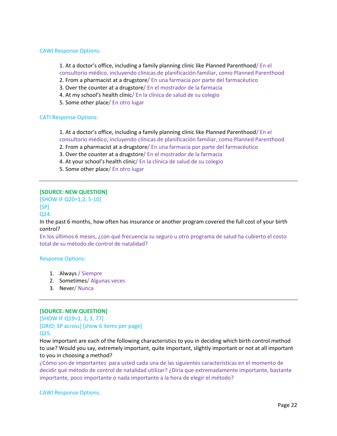## CAWI Response Options:

1. At a doctor's office, including a family planning clinic like Planned Parenthood/ En el consultorio médico, incluyendo clínicas de planificación familiar, como Planned Parenthood

- 2. From a pharmacist at a drugstore/ En una farmacia por parte del farmacéutico
- 3. Over the counter at a drugstore/ En el mostrador de la farmacia 4. At my school's health clinic/ En la clínica de salud de su colegio
- 5. Some other place/ En otro lugar

# CATI Response Options:

1. At a doctor's office, including a family planning clinic like Planned Parenthood/ En el consultorio médico, incluyendo clínicas de planificación familiar, como Planned Parenthood 2. From a pharmacist at a drugstore/ En una farmacia por parte del farmacéutico

- 3. Over the counter at a drugstore/ En el mostrador de la farmacia
- 4. At your school's health clinic/ En la clínica de salud de su colegio
- 5. Some other place/ En otro lugar

# **[SOURCE: NEW QUESTION]**

[SHOW IF Q20=1,2, 5-10] [SP]

Q24.

In the past 6 months, how often has insurance or another program covered the full cost of your birth control?

En los últimos 6 meses, ¿con qué frecuencia su seguro u otro programa de salud ha cubierto el costo total de su método de control de natalidad?

#### Response Options:

- 1. Always / Siempre
- 2. Sometimes/ Algunas veces
- 3. Never/ Nunca

#### **[SOURCE: NEW QUESTION]**

[SHOW IF Q19=1, 2, 3, 77] [GRID; SP across] [show 6 items per page] Q25.

How important are each of the following characteristics to you in deciding which birth control method to use? Would you say, extremely important, quite important, slightly important or not at all important to you in choosing a method?

¿Cómo son de importantes para usted cada una de las siguientes características en el momento de decidir qué método de control de natalidad utilizar? ¿Diría que extremadamente importante, bastante importante, poco importante o nada importante a la hora de elegir el método?

#### CAWI Response Options: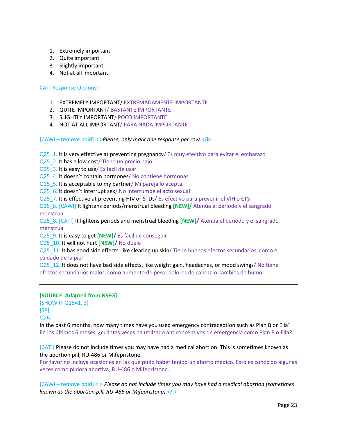- 1. Extremely important
- 2. Quite important
- 3. Slightly important
- 4. Not at all important

# CATI Response Options:

- 1. EXTREMELY IMPORTANT/ EXTREMADAMENTE IMPORTANTE
- 2. QUITE IMPORTANT/ BASTANTE IMPORTANTE
- 3. SLIGHTLY IMPORTANT/ POCO IMPORTANTE
- 4. NOT AT ALL IMPORTANT/ PARA NADA IMPORTANTE

[CAWI – remove bold] <i>*Please, only mark one response per row.*</i>

Q25\_1. It is very effective at preventing pregnancy/ Es muy efectivo para evitar el embarazo

Q25 2. It has a low cost/ Tiene un precio bajo

Q25\_3. It is easy to use/ Es fácil de usar

Q25\_4. It doesn't contain hormones/ No contiene hormonas

Q25\_5. It is acceptable to my partner/ Mi pareja lo acepta

Q25 6. It doesn't interrupt sex/ No interrumpe el acto sexual

Q25\_7. It is effective at preventing HIV or STDs/ Es efectivo para prevenir el VIH o ETS

Q25\_8. [CAWI] It lightens periods/menstrual bleeding **[NEW]/** Atenúa el período y el sangrado menstrual

Q25\_8. [CATI] It lightens periods and menstrual bleeding **[NEW]/** Atenúa el período y el sangrado menstrual

Q25\_9. It is easy to get **[NEW]/** Es fácil de conseguir

Q25\_10. It will not hurt **[NEW]/** No duele

Q25\_11. It has good side effects, like clearing up skin/ Tiene buenos efectos secundarios, como el cuidado de la piel

Q25\_12. It does not have bad side effects, like weight gain, headaches, or mood swings/ No tiene efectos secundarios malos, como aumento de peso, dolores de cabeza o cambios de humor

# **[SOURCE: Adapted from NSFG]**

[SHOW IF Q18=1, 3] [SP] Q26.

In the past 6 months, how many times have you used emergency contraception such as Plan B or Ella? En los últimos 6 meses, ¿cuántas veces ha utilizado anticonceptivos de emergencia como Plan B o Ella?

[CATI] Please do not include times you may have had a medical abortion. This is sometimes known as the abortion pill, RU-486 or Mifepristone.

Por favor no incluya ocasiones en las que pudo haber tenido un aborto médico. Esto es conocido algunas veces como píldora abortiva, RU-486 o Mifepristona.

[CAWI – remove bold] *< Please do not include times you may have had a medical abortion (sometimes known as the abortion pill, RU-486 or Mifepristone).*</i>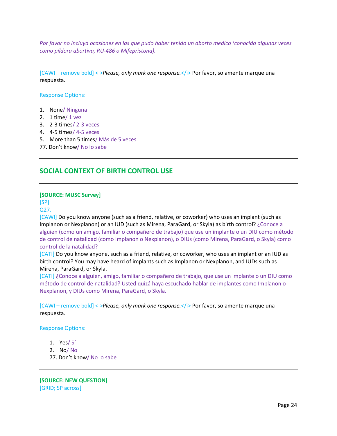*Por favor no incluya ocasiones en las que pudo haber tenido un aborto medico (conocido algunas veces como píldora abortiva, RU-486 o Mifepristona).*

[CAWI – remove bold] *<i>Please, only mark one response.*  $\langle i \rangle$  Por favor, solamente marque una respuesta.

Response Options:

- 1. None/ Ninguna
- 2. 1 time/ 1 vez
- 3. 2-3 times/ 2-3 veces
- 4. 4-5 times/ 4-5 veces
- 5. More than 5 times/ Más de 5 veces
- 77. Don't know/ No lo sabe

# **SOCIAL CONTEXT OF BIRTH CONTROL USE**

# **[SOURCE: MUSC Survey]**

[SP]

Q27.

[CAWI] Do you know anyone (such as a friend, relative, or coworker) who uses an implant (such as Implanon or Nexplanon) or an IUD (such as Mirena, ParaGard, or Skyla) as birth control? ¿Conoce a alguien (como un amigo, familiar o compañero de trabajo) que use un implante o un DIU como método de control de natalidad (como Implanon o Nexplanon), o DIUs (como Mirena, ParaGard, o Skyla) como control de la natalidad?

[CATI] Do you know anyone, such as a friend, relative, or coworker, who uses an implant or an IUD as birth control? You may have heard of implants such as Implanon or Nexplanon, and IUDs such as Mirena, ParaGard, or Skyla.

[CATI] ¿Conoce a alguien, amigo, familiar o compañero de trabajo, que use un implante o un DIU como método de control de natalidad? Usted quizá haya escuchado hablar de implantes como Implanon o Nexplanon, y DIUs como Mirena, ParaGard, o Skyla.

[CAWI – remove bold] *<i>Please, only mark one response.*  $\langle i \rangle$  Por favor, solamente marque una respuesta.

Response Options:

- 1. Yes/ Sí
- 2. No/ No
- 77. Don't know/ No lo sabe

**[SOURCE: NEW QUESTION]** [GRID; SP across]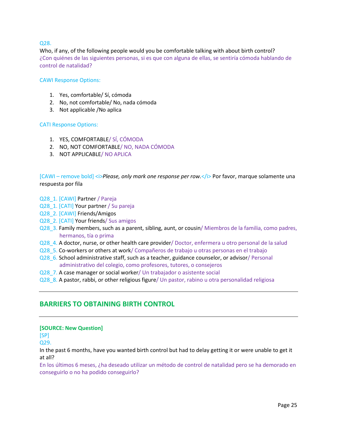# Q28.

Who, if any, of the following people would you be comfortable talking with about birth control? ¿Con quiénes de las siguientes personas, si es que con alguna de ellas, se sentiría cómoda hablando de control de natalidad?

# CAWI Response Options:

- 1. Yes, comfortable/ Sí, cómoda
- 2. No, not comfortable/ No, nada cómoda
- 3. Not applicable /No aplica

#### CATI Response Options:

- 1. YES, COMFORTABLE/ SÍ, CÓMODA
- 2. NO, NOT COMFORTABLE/ NO, NADA CÓMODA
- 3. NOT APPLICABLE/ NO APLICA

[CAWI – remove bold] <i>*Please, only mark one response per row.*</i> Por favor, marque solamente una respuesta por fila

- Q28\_1. [CAWI] Partner / Pareja
- Q28\_1. [CATI] Your partner / Su pareja
- Q28\_2. [CAWI] Friends/Amigos
- Q28 2. [CATI] Your friends/ Sus amigos
- Q28\_3. Family members, such as a parent, sibling, aunt, or cousin/ Miembros de la familia, como padres, hermanos, tía o prima
- Q28\_4. A doctor, nurse, or other health care provider/ Doctor, enfermera u otro personal de la salud
- Q28\_5. Co-workers or others at work/ Compañeros de trabajo u otras personas en el trabajo
- Q28\_6. School administrative staff, such as a teacher, guidance counselor, or advisor/ Personal administrativo del colegio, como profesores, tutores, o consejeros
- Q28\_7. A case manager or social worker/ Un trabajador o asistente social
- Q28\_8. A pastor, rabbi, or other religious figure/ Un pastor, rabino u otra personalidad religiosa

# **BARRIERS TO OBTAINING BIRTH CONTROL**

#### **[SOURCE: New Question]**

[SP]

Q29.

In the past 6 months, have you wanted birth control but had to delay getting it or were unable to get it at all?

En los últimos 6 meses, ¿ha deseado utilizar un método de control de natalidad pero se ha demorado en conseguirlo o no ha podido conseguirlo?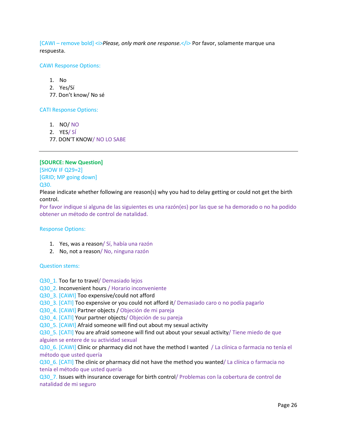[CAWI – remove bold] *<i>Please, only mark one response.* </i> Por favor, solamente marque una respuesta.

## CAWI Response Options:

- 1. No
- 2. Yes/Sí
- 77. Don't know/ No sé

# CATI Response Options:

- 1. NO/ NO
- 2. YES/ SÍ
- 77. DON'T KNOW/ NO LO SABE

# **[SOURCE: New Question]**

[SHOW IF Q29=2] [GRID; MP going down] Q30.

Please indicate whether following are reason(s) why you had to delay getting or could not get the birth control.

Por favor indique si alguna de las siguientes es una razón(es) por las que se ha demorado o no ha podido obtener un método de control de natalidad.

#### Response Options:

- 1. Yes, was a reason/ Sí, había una razón
- 2. No, not a reason/ No, ninguna razón

#### Question stems:

- Q30\_1. Too far to travel/ Demasiado lejos
- Q30\_2. Inconvenient hours / Horario inconveniente
- Q30\_3. [CAWI] Too expensive/could not afford
- Q30\_3. [CATI] Too expensive or you could not afford it/ Demasiado caro o no podía pagarlo
- Q30\_4. [CAWI] Partner objects / Objeción de mi pareja

Q30\_4. [CATI] Your partner objects/ Objeción de su pareja

Q30\_5. [CAWI] Afraid someone will find out about my sexual activity

Q30\_5. [CATI] You are afraid someone will find out about your sexual activity/ Tiene miedo de que alguien se entere de su actividad sexual

Q30\_6. [CAWI] Clinic or pharmacy did not have the method I wanted / La clínica o farmacia no tenía el método que usted quería

Q30\_6. [CATI] The clinic or pharmacy did not have the method you wanted/ La clínica o farmacia no tenía el método que usted quería

Q30\_7. Issues with insurance coverage for birth control/ Problemas con la cobertura de control de natalidad de mi seguro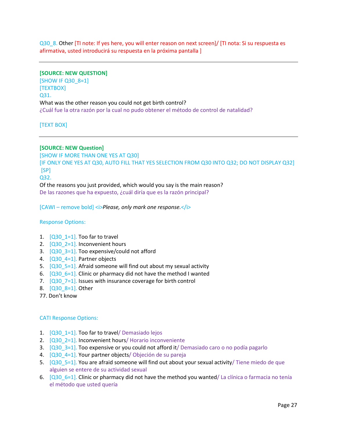Q30\_8. Other [TI note: If yes here, you will enter reason on next screen]/ [TI nota: Si su respuesta es afirmativa, usted introducirá su respuesta en la próxima pantalla ]

#### **[SOURCE: NEW QUESTION]**

[SHOW IF Q30\_8=1] [TEXTBOX] Q31. What was the other reason you could not get birth control? ¿Cuál fue la otra razón por la cual no pudo obtener el método de control de natalidad?

[TEXT BOX]

# **[SOURCE: NEW Question]**

[SHOW IF MORE THAN ONE YES AT Q30] [IF ONLY ONE YES AT Q30, AUTO FILL THAT YES SELECTION FROM Q30 INTO Q32; DO NOT DISPLAY Q32]  $[SP]$ Q32. Of the reasons you just provided, which would you say is the main reason?

De las razones que ha expuesto, ¿cuál diría que es la razón principal?

[CAWI – remove bold] *< Please, only mark one response.* 

#### Response Options:

- 1.  $[Q30 1=1]$ . Too far to travel
- 2.  $[Q30 2=1]$ . Inconvenient hours
- 3. [Q30\_3=1]. Too expensive/could not afford
- 4. [Q30\_4=1]. Partner objects
- 5. [Q30\_5=1]. Afraid someone will find out about my sexual activity
- 6.  $[Q306=1]$ . Clinic or pharmacy did not have the method I wanted
- 7.  $[Q30\ \ 7=1]$ . Issues with insurance coverage for birth control
- 8. [Q30 8=1]. Other
- 77. Don't know

#### CATI Response Options:

- 1. [Q30\_1=1]. Too far to travel/ Demasiado lejos
- 2. [Q30\_2=1]. Inconvenient hours/ Horario inconveniente
- 3. [Q30\_3=1]. Too expensive or you could not afford it/ Demasiado caro o no podía pagarlo
- 4. [Q30\_4=1]. Your partner objects/ Objeción de su pareja
- 5.  $[Q30\ \ 5=1]$ . You are afraid someone will find out about your sexual activity/ Tiene miedo de que alguien se entere de su actividad sexual
- 6.  $[Q30_6=1]$ . Clinic or pharmacy did not have the method you wanted/ La clínica o farmacia no tenía el método que usted quería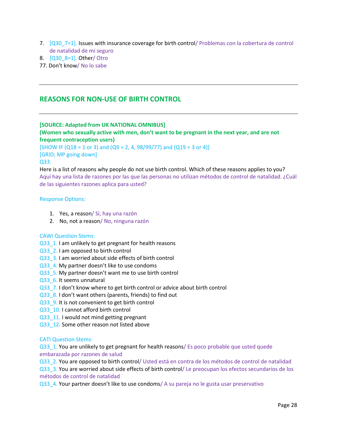- 7.  $[Q30\ \ 7=1]$ . Issues with insurance coverage for birth control/ Problemas con la cobertura de control de natalidad de mi seguro
- 8. [Q30\_8=1]. Other/ Otro

77. Don't know/ No lo sabe

# **REASONS FOR NON-USE OF BIRTH CONTROL**

# **[SOURCE: Adapted from UK NATIONAL OMNIBUS]**

**(Women who sexually active with men, don't want to be pregnant in the next year, and are not frequent contraception users)**

[SHOW IF (Q18 = 1 or 3) and (Q9 = 2, 4, 98/99/77) and (Q19 = 3 or 4)] [GRID; MP going down]

#### Q33.

Here is a list of reasons why people do not use birth control. Which of these reasons applies to you? Aquí hay una lista de razones por las que las personas no utilizan métodos de control de natalidad. ¿Cuál de las siguientes razones aplica para usted?

#### Response Options:

- 1. Yes, a reason/ Sí, hay una razón
- 2. No, not a reason/ No, ninguna razón

#### CAWI Question Stems:

- Q33\_1. I am unlikely to get pregnant for health reasons
- Q33\_2. I am opposed to birth control
- Q33\_3. I am worried about side effects of birth control
- Q33\_4. My partner doesn't like to use condoms
- Q33\_5. My partner doesn't want me to use birth control
- Q33 6. It seems unnatural
- Q33\_7. I don't know where to get birth control or advice about birth control
- Q33  $8.1$  don't want others (parents, friends) to find out
- Q33\_9. It is not convenient to get birth control
- Q33\_10. I cannot afford birth control
- Q33\_11. I would not mind getting pregnant
- Q33\_12. Some other reason not listed above

#### CATI Question Stems:

Q33\_1. You are unlikely to get pregnant for health reasons/ Es poco probable que usted quede embarazada por razones de salud

Q33\_2. You are opposed to birth control/ Usted está en contra de los métodos de control de natalidad Q33\_3. You are worried about side effects of birth control/ Le preocupan los efectos secundarios de los métodos de control de natalidad

Q33\_4. Your partner doesn't like to use condoms/ A su pareja no le gusta usar preservativo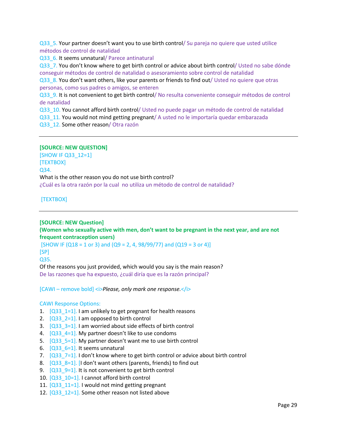Q33\_5. Your partner doesn't want you to use birth control/ Su pareja no quiere que usted utilice métodos de control de natalidad

Q33 6. It seems unnatural/ Parece antinatural

Q33\_7. You don't know where to get birth control or advice about birth control/ Usted no sabe dónde conseguir métodos de control de natalidad o asesoramiento sobre control de natalidad

Q33\_8. You don't want others, like your parents or friends to find out/ Usted no quiere que otras personas, como sus padres o amigos, se enteren

Q33\_9. It is not convenient to get birth control/ No resulta conveniente conseguir métodos de control de natalidad

Q33\_10. You cannot afford birth control/ Usted no puede pagar un método de control de natalidad

Q33\_11. You would not mind getting pregnant/ A usted no le importaría quedar embarazada Q33\_12. Some other reason/ Otra razón

# **[SOURCE: NEW QUESTION]**

[SHOW IF Q33\_12=1] [TEXTBOX] Q34. What is the other reason you do not use birth control? ¿Cuál es la otra razón por la cual no utiliza un método de control de natalidad?

[TEXTBOX]

**[SOURCE: NEW Question] (Women who sexually active with men, don't want to be pregnant in the next year, and are not frequent contraception users)**

[SHOW IF (Q18 = 1 or 3) and (Q9 = 2, 4, 98/99/77) and (Q19 = 3 or 4)]  $[SP]$ 

Q35.

Of the reasons you just provided, which would you say is the main reason? De las razones que ha expuesto, ¿cuál diría que es la razón principal?

[CAWI – remove bold] <i>*Please, only mark one response.*</i>

#### CAWI Response Options:

- 1.  $[Q33 \t1=1]$ . I am unlikely to get pregnant for health reasons
- 2.  $[Q33 \t2=1]$ . I am opposed to birth control
- 3.  $[Q33_33=1]$ . I am worried about side effects of birth control
- 4.  $[Q33_4=1]$ . My partner doesn't like to use condoms
- 5.  $[Q33_5=1]$ . My partner doesn't want me to use birth control
- 6.  $[Q33_6=1]$ . It seems unnatural
- 7.  $[Q33 \t 7=1]$ . I don't know where to get birth control or advice about birth control
- 8.  $[Q33_8=1]$ . [I don't want others (parents, friends) to find out
- 9.  $[Q33 \t 9=1]$ . It is not convenient to get birth control
- 10.  $[Q33 \t10=1]$ . I cannot afford birth control
- 11.  $[Q33 \t11=1]$ . I would not mind getting pregnant
- 12.  $[Q33 \t12=1]$ . Some other reason not listed above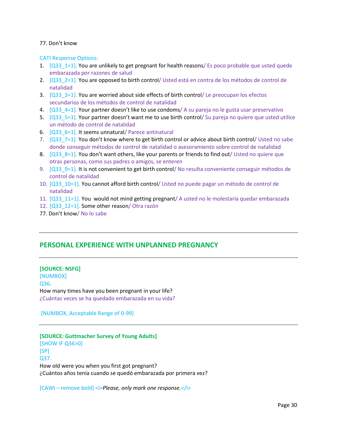# 77. Don't know

CATI Response Options:

- 1. [Q33\_1=1]. You are unlikely to get pregnant for health reasons/ Es poco probable que usted quede embarazada por razones de salud
- 2.  $[Q33 \t2=1]$ . You are opposed to birth control/ Usted está en contra de los métodos de control de natalidad
- 3.  $[Q33 \ 3=1]$ . You are worried about side effects of birth control/ Le preocupan los efectos secundarios de los métodos de control de natalidad
- 4.  $[Q33 \ 4=1]$ . Your partner doesn't like to use condoms/ A su pareja no le gusta usar preservativo
- 5.  $[Q33 \t{5} = 1]$ . Your partner doesn't want me to use birth control/ Su pareja no quiere que usted utilice un método de control de natalidad
- 6.  $[Q33, 6=1]$ . It seems unnatural/ Parece antinatural
- 7.  $[Q33 \t 7=1]$ . You don't know where to get birth control or advice about birth control/ Usted no sabe donde conseguir métodos de control de natalidad o asesoramiento sobre control de natalidad
- 8.  $[Q33 \t8=1]$ . You don't want others, like your parents or friends to find out/ Usted no quiere que otras personas, como sus padres o amigos, se enteren
- 9. [Q33\_9=1]. It is not convenient to get birth control/ No resulta conveniente conseguir métodos de control de natalidad
- 10. [Q33\_10=1]. You cannot afford birth control/ Usted no puede pagar un método de control de natalidad
- 11. [Q33\_11=1]. You would not mind getting pregnant/ A usted no le molestaría quedar embarazada
- 12. [Q33\_12=1]. Some other reason/ Otra razón
- 77. Don't know/ No lo sabe

# **PERSONAL EXPERIENCE WITH UNPLANNED PREGNANCY**

# **[SOURCE: NSFG]**

[NUMBOX] Q36. How many times have you been pregnant in your life? ¿Cuántas veces se ha quedado embarazada en su vida?

[NUMBOX, Acceptable Range of 0-99]

# **[SOURCE: Guttmacher Survey of Young Adults]**

[SHOW IF Q36>0] [SP] Q37. How old were you when you first got pregnant? ¿Cuántos años tenía cuando se quedó embarazada por primera vez?

[CAWI – remove bold] *< Please, only mark one response.*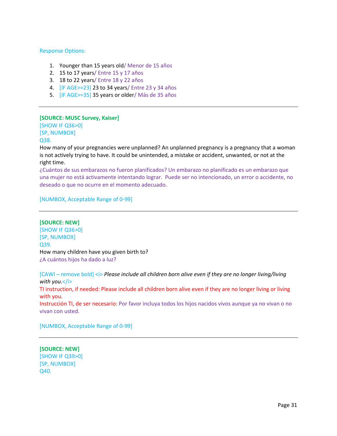#### Response Options:

- 1. Younger than 15 years old/ Menor de 15 años
- 2. 15 to 17 years/ Entre 15 y 17 años
- 3. 18 to 22 years/ Entre 18 y 22 años
- 4. [IF AGE>=23] 23 to 34 years/ Entre 23 y 34 años
- 5. [IF AGE>=35] 35 years or older/ Más de 35 años

#### **[SOURCE: MUSC Survey, Kaiser]**

[SHOW IF Q36>0] [SP, NUMBOX] Q38.

How many of your pregnancies were unplanned? An unplanned pregnancy is a pregnancy that a woman is not actively trying to have. It could be unintended, a mistake or accident, unwanted, or not at the right time.

¿Cuántos de sus embarazos no fueron planificados? Un embarazo no planificado es un embarazo que una mujer no está activamente intentando lograr. Puede ser no intencionado, un error o accidente, no deseado o que no ocurre en el momento adecuado.

[NUMBOX, Acceptable Range of 0-99]

# **[SOURCE: NEW]**

[SHOW IF Q36>0] [SP, NUMBOX] Q39. How many children have you given birth to? ¿A cuántos hijos ha dado a luz?

[CAWI – remove bold]  $\langle \rangle$  Please include all children born alive even if they are no longer living/living *with you.*</i> TI instruction, if needed: Please include all children born alive even if they are no longer living or living with you. Instrucción TI, de ser necesario: Por favor incluya todos los hijos nacidos vivos aunque ya no vivan o no vivan con usted.

[NUMBOX, Acceptable Range of 0-99]

**[SOURCE: NEW]** [SHOW IF Q39>0] [SP, NUMBOX] Q40.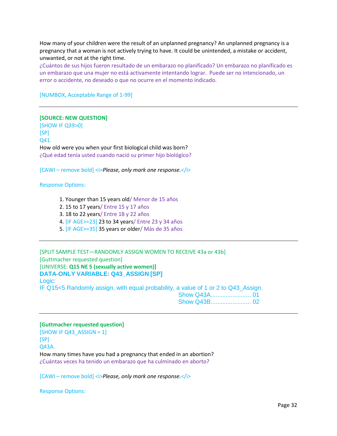How many of your children were the result of an unplanned pregnancy? An unplanned pregnancy is a pregnancy that a woman is not actively trying to have. It could be unintended, a mistake or accident, unwanted, or not at the right time.

¿Cuántos de sus hijos fueron resultado de un embarazo no planificado? Un embarazo no planificado es un embarazo que una mujer no está activamente intentando lograr. Puede ser no intencionado, un error o accidente, no deseado o que no ocurre en el momento indicado.

[NUMBOX, Acceptable Range of 1-99]

# **[SOURCE: NEW QUESTION]**

[SHOW IF Q39>0] [SP] Q41. How old were you when your first biological child was born? ¿Qué edad tenía usted cuando nació su primer hijo biológico?

[CAWI – remove bold] *< <i>Please*, only mark one response.

#### Response Options:

- 1. Younger than 15 years old/ Menor de 15 años
- 2. 15 to 17 years/ Entre 15 y 17 años
- 3. 18 to 22 years/ Entre 18 y 22 años
- 4. [IF AGE>=23] 23 to 34 years/ Entre 23 y 34 años
- 5. [IF AGE>=35] 35 years or older/ Más de 35 años

[SPLIT SAMPLE TEST—RANDOMLY ASSIGN WOMEN TO RECEIVE 43a or 43b] [Guttmacher requested question] [UNIVERSE: **Q15 NE 5 (sexually active women)] DATA-ONLY VARIABLE: Q43\_ASSIGN [SP]** Logic: IF Q15<5 Randomly assign, with equal probability, a value of 1 or 2 to Q43\_Assign. Show Q43A........................ 01 Show Q43B........................ 02

#### **[Guttmacher requested question]**

 $[SHOW IF Q43 ASSIGN = 1]$ [SP] Q43A. How many times have you had a pregnancy that ended in an abortion? ¿Cuántas veces ha tenido un embarazo que ha culminado en aborto?

[CAWI – remove bold] <i>*Please, only mark one response.*</i>

Response Options: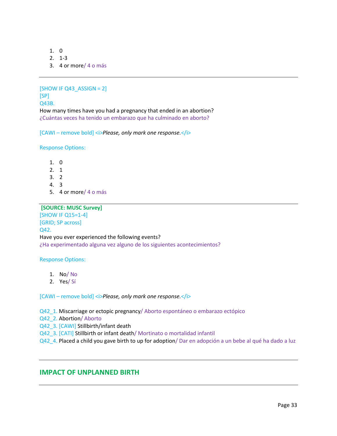- 1. 0
- 2. 1-3
- 3. 4 or more/ 4 o más

 $[SHOW IF Q43 ASSIGN = 2]$ [SP] Q43B. How many times have you had a pregnancy that ended in an abortion? ¿Cuántas veces ha tenido un embarazo que ha culminado en aborto?

[CAWI – remove bold] <*i>Please, only mark one response.*</*i>* 

Response Options:

- 1. 0
- 2. 1
- 3. 2
- 4. 3
- 5. 4 or more/ 4 o más

# **[SOURCE: MUSC Survey]**

[SHOW IF Q15=1-4] [GRID; SP across] Q42. Have you ever experienced the following events? ¿Ha experimentado alguna vez alguno de los siguientes acontecimientos?

#### Response Options:

- 1. No/ No
- 2. Yes/ Sí

[CAWI – remove bold] <i>*Please, only mark one response.*</i>

Q42\_1. Miscarriage or ectopic pregnancy/ Aborto espontáneo o embarazo ectópico

Q42\_2. Abortion/ Aborto

Q42\_3. [CAWI] Stillbirth/infant death

Q42\_3. [CATI] Stillbirth or infant death/ Mortinato o mortalidad infantil

Q42\_4. Placed a child you gave birth to up for adoption/ Dar en adopción a un bebe al qué ha dado a luz

# **IMPACT OF UNPLANNED BIRTH**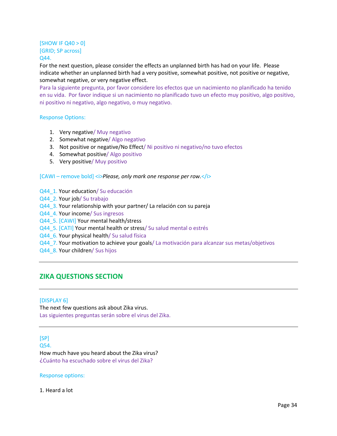# $[$ SHOW IF Q40 > 0 $]$ [GRID; SP across] Q44.

For the next question, please consider the effects an unplanned birth has had on your life. Please indicate whether an unplanned birth had a very positive, somewhat positive, not positive or negative, somewhat negative, or very negative effect.

Para la siguiente pregunta, por favor considere los efectos que un nacimiento no planificado ha tenido en su vida. Por favor indique si un nacimiento no planificado tuvo un efecto muy positivo, algo positivo, ni positivo ni negativo, algo negativo, o muy negativo.

# Response Options:

- 1. Very negative/ Muy negativo
- 2. Somewhat negative/ Algo negativo
- 3. Not positive or negative/No Effect/ Ni positivo ni negativo/no tuvo efectos
- 4. Somewhat positive/ Algo positivo
- 5. Very positive/ Muy positivo

#### [CAWI – remove bold] <i>*Please, only mark one response per row.*</i>

- Q44\_1. Your education/ Su educación
- Q44\_2. Your job/ Su trabajo
- Q44\_3. Your relationship with your partner/ La relación con su pareja
- Q44\_4. Your income/ Sus ingresos
- Q44\_5. [CAWI] Your mental health/stress
- Q44\_5. [CATI] Your mental health or stress/ Su salud mental o estrés
- Q44\_6. Your physical health/ Su salud física
- Q44\_7. Your motivation to achieve your goals/ La motivación para alcanzar sus metas/objetivos
- Q44\_8. Your children/ Sus hijos

# **ZIKA QUESTIONS SECTION**

#### [DISPLAY 6]

The next few questions ask about Zika virus. Las siguientes preguntas serán sobre el virus del Zika.

 $[SP]$ 

Q54.

How much have you heard about the Zika virus? ¿Cuánto ha escuchado sobre el virus del Zika?

Response options:

## 1. Heard a lot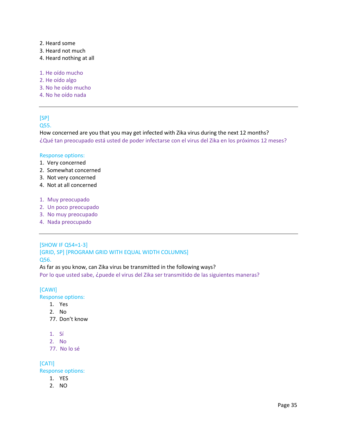- 2. Heard some
- 3. Heard not much
- 4. Heard nothing at all
- 1. He oído mucho
- 2. He oído algo
- 3. No he oído mucho
- 4. No he oído nada

# [SP]

# Q55.

How concerned are you that you may get infected with Zika virus during the next 12 months? ¿Qué tan preocupado está usted de poder infectarse con el virus del Zika en los próximos 12 meses?

#### Response options:

- 1. Very concerned
- 2. Somewhat concerned
- 3. Not very concerned
- 4. Not at all concerned
- 1. Muy preocupado
- 2. Un poco preocupado
- 3. No muy preocupado
- 4. Nada preocupado

# [SHOW IF Q54=1-3]

[GRID, SP] [PROGRAM GRID WITH EQUAL WIDTH COLUMNS] Q56.

#### As far as you know, can Zika virus be transmitted in the following ways?

Por lo que usted sabe, ¿puede el virus del Zika ser transmitido de las siguientes maneras?

# [CAWI]

Response options:

- 1. Yes
- 2. No
- 77. Don't know
- 1. Sí
- 2. No
- 77. No lo sé

# [CATI]

Response options:

- 1. YES
- 2. NO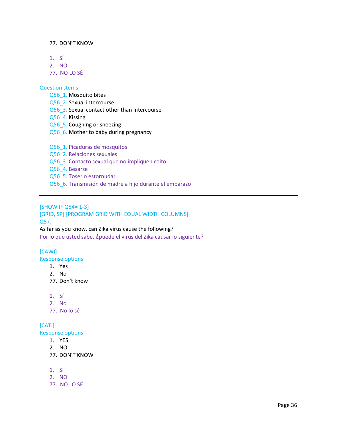# 77. DON'T KNOW

- 1. SÍ
- 2. NO
- 77. NO LO SÉ

# Question stems:

- Q56\_1. Mosquito bites
- Q56\_2. Sexual intercourse
- Q56\_3. Sexual contact other than intercourse
- Q56\_4. Kissing
- Q56\_5. Coughing or sneezing
- Q56\_6. Mother to baby during pregnancy
- Q56\_1. Picaduras de mosquitos
- Q56\_2. Relaciones sexuales
- Q56\_3. Contacto sexual que no impliquen coito
- Q56\_4. Besarse
- Q56\_5. Toser o estornudar
- Q56\_6. Transmisión de madre a hijo durante el embarazo

# [SHOW IF Q54= 1-3]

[GRID, SP] [PROGRAM GRID WITH EQUAL WIDTH COLUMNS] Q57.

As far as you know, can Zika virus cause the following? Por lo que usted sabe, ¿puede el virus del Zika causar lo siguiente?

# [CAWI]

Response options:

- 1. Yes
- 2. No
- 77. Don't know
- 1. Sí
- 2. No
- 77. No lo sé

# [CATI]

Response options:

- 1. YES
- 2. NO
- 77. DON'T KNOW
- 1. SÍ
- 2. NO
- 77. NO LO SÉ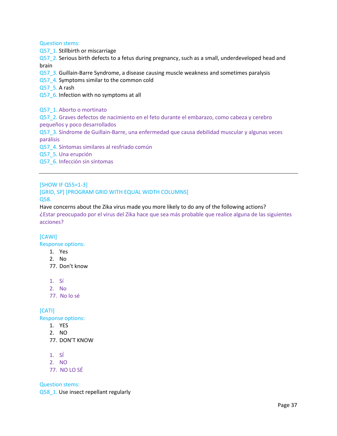Question stems:

Q57\_1. Stillbirth or miscarriage

Q57\_2. Serious birth defects to a fetus during pregnancy, such as a small, underdeveloped head and brain

- Q57\_3. Guillain-Barre Syndrome, a disease causing muscle weakness and sometimes paralysis
- Q57\_4. Symptoms similar to the common cold
- Q57\_5. A rash

Q57\_6. Infection with no symptoms at all

Q57\_1. Aborto o mortinato

Q57\_2. Graves defectos de nacimiento en el feto durante el embarazo, como cabeza y cerebro pequeños y poco desarrollados

Q57\_3. Síndrome de Guillain-Barre, una enfermedad que causa debilidad muscular y algunas veces parálisis

Q57\_4. Síntomas similares al resfriado común

Q57\_5. Una erupción

Q57\_6. Infección sin síntomas

[SHOW IF Q55=1-3]

# [GRID, SP] [PROGRAM GRID WITH EQUAL WIDTH COLUMNS]

Q58.

Have concerns about the Zika virus made you more likely to do any of the following actions? ¿Estar preocupado por el virus del Zika hace que sea más probable que realice alguna de las siguientes acciones?

# [CAWI]

Response options:

- 1. Yes
- 2. No
- 77. Don't know
- 1. Sí
- 2. No
- 77. No lo sé

# [CATI]

Response options:

- 1. YES
- 2. NO
- 77. DON'T KNOW
- 1. SÍ
- 2. NO
- 77. NO LO SÉ

Question stems:

Q58\_1. Use insect repellant regularly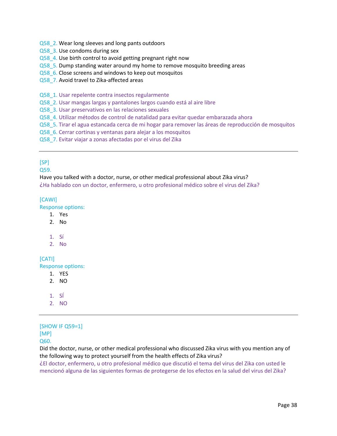## Q58 2. Wear long sleeves and long pants outdoors

Q58\_3. Use condoms during sex

# Q58\_4. Use birth control to avoid getting pregnant right now

- Q58\_5. Dump standing water around my home to remove mosquito breeding areas
- Q58 6. Close screens and windows to keep out mosquitos
- Q58\_7. Avoid travel to Zika-affected areas
- Q58\_1. Usar repelente contra insectos regularmente
- Q58\_2. Usar mangas largas y pantalones largos cuando está al aire libre
- Q58\_3. Usar preservativos en las relaciones sexuales
- Q58\_4. Utilizar métodos de control de natalidad para evitar quedar embarazada ahora
- Q58\_5. Tirar el agua estancada cerca de mi hogar para remover las áreas de reproducción de mosquitos
- Q58\_6. Cerrar cortinas y ventanas para alejar a los mosquitos
- Q58\_7. Evitar viajar a zonas afectadas por el virus del Zika

# [SP]

Q59.

Have you talked with a doctor, nurse, or other medical professional about Zika virus? ¿Ha hablado con un doctor, enfermero, u otro profesional médico sobre el virus del Zika?

# [CAWI]

Response options:

- 1. Yes
- 2. No
- 1. Sí
- 2. No

[CATI] Response options:

- 1. YES
- 2. NO
- 1. SÍ
- 2. NO

# [SHOW IF Q59=1] [MP]

Q60.

Did the doctor, nurse, or other medical professional who discussed Zika virus with you mention any of the following way to protect yourself from the health effects of Zika virus?

¿El doctor, enfermero, u otro profesional médico que discutió el tema del virus del Zika con usted le mencionó alguna de las siguientes formas de protegerse de los efectos en la salud del virus del Zika?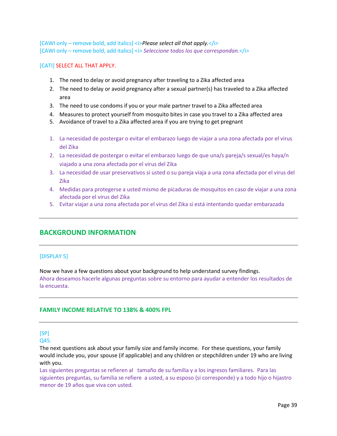[CAWI only – remove bold, add italics] <i>*Please select all that apply.*</i> [CAWI only – remove bold, add italics] <i> *Seleccione todos los que correspondan.*</i>

## [CATI] SELECT ALL THAT APPLY.

- 1. The need to delay or avoid pregnancy after traveling to a Zika affected area
- 2. The need to delay or avoid pregnancy after a sexual partner(s) has traveled to a Zika affected area
- 3. The need to use condoms if you or your male partner travel to a Zika affected area
- 4. Measures to protect yourself from mosquito bites in case you travel to a Zika affected area
- 5. Avoidance of travel to a Zika affected area if you are trying to get pregnant
- 1. La necesidad de postergar o evitar el embarazo luego de viajar a una zona afectada por el virus del Zika
- 2. La necesidad de postergar o evitar el embarazo luego de que una/s pareja/s sexual/es haya/n viajado a una zona afectada por el virus del Zika
- 3. La necesidad de usar preservativos si usted o su pareja viaja a una zona afectada por el virus del Zika
- 4. Medidas para protegerse a usted mismo de picaduras de mosquitos en caso de viajar a una zona afectada por el virus del Zika
- 5. Evitar viajar a una zona afectada por el virus del Zika si está intentando quedar embarazada

# **BACKGROUND INFORMATION**

# [DISPLAY 5]

Now we have a few questions about your background to help understand survey findings. Ahora deseamos hacerle algunas preguntas sobre su entorno para ayudar a entender los resultados de la encuesta.

# **FAMILY INCOME RELATIVE TO 138% & 400% FPL**

# [SP]

Q45.

The next questions ask about your family size and family income. For these questions, your family would include you, your spouse (if applicable) and any children or stepchildren under 19 who are living with you.

Las siguientes preguntas se refieren al tamaño de su familia y a los ingresos familiares. Para las siguientes preguntas, su familia se refiere a usted, a su esposo (si corresponde) y a todo hijo o hijastro menor de 19 años que viva con usted.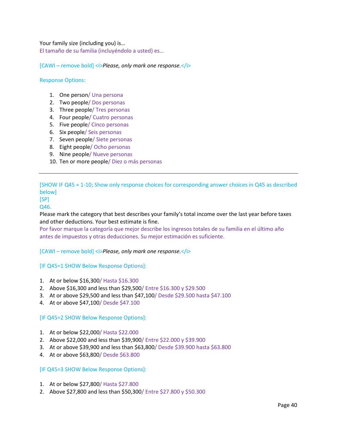Your family size (including you) is…

El tamaño de su familia (incluyéndolo a usted) es…

[CAWI – remove bold] <i>*Please, only mark one response.*</i>

# Response Options:

- 1. One person/ Una persona
- 2. Two people/ Dos personas
- 3. Three people/ Tres personas
- 4. Four people/ Cuatro personas
- 5. Five people/ Cinco personas
- 6. Six people/ Seis personas
- 7. Seven people/ Siete personas
- 8. Eight people/ Ocho personas
- 9. Nine people/ Nueve personas
- 10. Ten or more people/ Diez o más personas

[SHOW IF Q45 = 1-10; Show only response choices for corresponding answer choices in Q45 as described below]

# [SP]

# Q46.

Please mark the category that best describes your family's total income over the last year before taxes and other deductions. Your best estimate is fine.

Por favor marque la categoría que mejor describe los ingresos totales de su familia en el último año antes de impuestos y otras deducciones. Su mejor estimación es suficiente.

[CAWI – remove bold] *< <i>Please*, only mark one response.

[IF Q45=1 SHOW Below Response Options]:

- 1. At or below \$16,300/ Hasta \$16.300
- 2. Above \$16,300 and less than \$29,500/ Entre \$16.300 y \$29.500
- 3. At or above \$29,500 and less than \$47,100/ Desde \$29.500 hasta \$47.100
- 4. At or above \$47,100/ Desde \$47.100

#### [IF Q45=2 SHOW Below Response Options]:

- 1. At or below \$22,000/ Hasta \$22.000
- 2. Above \$22,000 and less than \$39,900/ Entre \$22.000 y \$39.900
- 3. At or above \$39,900 and less than \$63,800/ Desde \$39.900 hasta \$63.800
- 4. At or above \$63,800/ Desde \$63.800

# [IF Q45=3 SHOW Below Response Options]:

- 1. At or below \$27,800/ Hasta \$27.800
- 2. Above \$27,800 and less than \$50,300/ Entre \$27.800 y \$50.300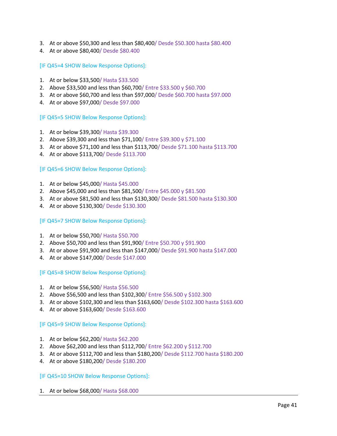- 3. At or above \$50,300 and less than \$80,400/ Desde \$50.300 hasta \$80.400
- 4. At or above \$80,400/ Desde \$80.400

[IF Q45=4 SHOW Below Response Options]:

- 1. At or below \$33,500/ Hasta \$33.500
- 2. Above \$33,500 and less than \$60,700/ Entre \$33.500 y \$60.700
- 3. At or above \$60,700 and less than \$97,000/ Desde \$60.700 hasta \$97.000
- 4. At or above \$97,000/ Desde \$97.000

[IF Q45=5 SHOW Below Response Options]:

- 1. At or below \$39,300/ Hasta \$39.300
- 2. Above \$39,300 and less than \$71,100/ Entre \$39.300 y \$71.100
- 3. At or above \$71,100 and less than \$113,700/ Desde \$71.100 hasta \$113.700
- 4. At or above \$113,700/ Desde \$113.700

[IF Q45=6 SHOW Below Response Options]:

- 1. At or below \$45,000/ Hasta \$45.000
- 2. Above \$45,000 and less than \$81,500/ Entre \$45.000 y \$81.500
- 3. At or above \$81,500 and less than \$130,300/ Desde \$81.500 hasta \$130.300
- 4. At or above \$130,300/ Desde \$130.300

## [IF Q45=7 SHOW Below Response Options]:

- 1. At or below \$50,700/ Hasta \$50.700
- 2. Above \$50,700 and less than \$91,900/ Entre \$50.700 y \$91.900
- 3. At or above \$91,900 and less than \$147,000/ Desde \$91.900 hasta \$147.000
- 4. At or above \$147,000/ Desde \$147.000

[IF Q45=8 SHOW Below Response Options]:

- 1. At or below \$56,500/ Hasta \$56.500
- 2. Above \$56,500 and less than \$102,300/ Entre \$56.500 y \$102.300
- 3. At or above \$102,300 and less than \$163,600/ Desde \$102.300 hasta \$163.600
- 4. At or above \$163,600/ Desde \$163.600

[IF Q45=9 SHOW Below Response Options]:

- 1. At or below \$62,200/ Hasta \$62.200
- 2. Above \$62,200 and less than \$112,700/ Entre \$62.200 y \$112.700
- 3. At or above \$112,700 and less than \$180,200/ Desde \$112.700 hasta \$180.200
- 4. At or above \$180,200/ Desde \$180.200

[IF Q45=10 SHOW Below Response Options]:

1. At or below \$68,000/ Hasta \$68.000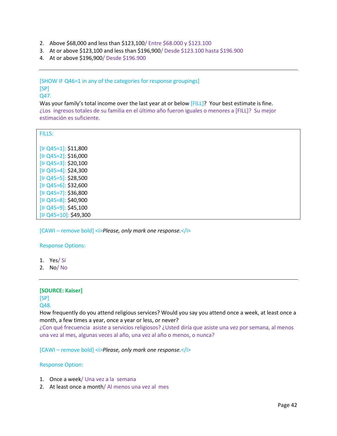- 2. Above \$68,000 and less than \$123,100/ Entre \$68.000 y \$123.100
- 3. At or above \$123,100 and less than \$196,900/ Desde \$123.100 hasta \$196.900
- 4. At or above \$196,900/ Desde \$196.900

# [SHOW IF Q46=1 in any of the categories for response groupings]  $[SP]$

Q47.

Was your family's total income over the last year at or below [FILL]? Your best estimate is fine. ¿Los ingresos totales de su familia en el último año fueron iguales o menores a [FILL]? Su mejor estimación es suficiente.

| <b>FILLS:</b>                                 |  |  |
|-----------------------------------------------|--|--|
| $[IF Q45=1]: $11,800$                         |  |  |
| $[IF Q45=2]: $16,000$                         |  |  |
| $[IF Q45=3]: $20,100$                         |  |  |
| [IF Q45=4]: \$24,300                          |  |  |
| $[IF Q45=5]: $28,500$                         |  |  |
| [IF Q45=6]: \$32,600                          |  |  |
| $[IF Q45=7]: $36,800$<br>[IF Q45=8]: \$40,900 |  |  |
| $[IF Q45=9]: $45,100$                         |  |  |
| [IF Q45=10]: \$49,300                         |  |  |

[CAWI – remove bold] *< Please, only mark one response.* 

#### Response Options:

- 1. Yes/ Sí
- 2. No/ No

## **[SOURCE: Kaiser]**

[SP]

# Q48.

How frequently do you attend religious services? Would you say you attend once a week, at least once a month, a few times a year, once a year or less, or never?

¿Con qué frecuencia asiste a servicios religiosos? ¿Usted diría que asiste una vez por semana, al menos una vez al mes, algunas veces al año, una vez al año o menos, o nunca?

[CAWI – remove bold] <i>*Please, only mark one response.*</i>

# Response Option:

- 1. Once a week/ Una vez a la semana
- 2. At least once a month/ Al menos una vez al mes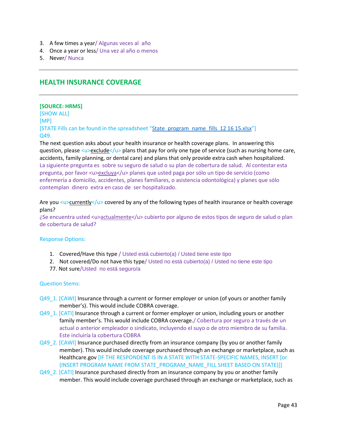- 3. A few times a year/ Algunas veces al año
- 4. Once a year or less/ Una vez al año o menos
- 5. Never/ Nunca

# **HEALTH INSURANCE COVERAGE**

#### **[SOURCE: HRMS]**

[SHOW ALL] [MP] [STATE Fills can be found in the spreadsheet "[State\\_program\\_name\\_fills 12 16 15.xlsx](file://///norc.org/projects/NPPC/Common/AmeriSpeak/ClientServices/Projects/Urban%20Institute/7859%20Contraceptive%20Use%20Study/Quex/ClientOrig/State_program_name_fills%20%2012%2016%2015.xlsx)"] Q49.

The next question asks about your health insurance or health coverage plans. In answering this question, please <u>exclude</u> plans that pay for only one type of service (such as nursing home care, accidents, family planning, or dental care) and plans that only provide extra cash when hospitalized. La siguiente pregunta es sobre su seguro de salud o su plan de cobertura de salud. Al contestar esta pregunta, por favor <u>excluya</u> planes que usted paga por sólo un tipo de servicio (como enfermería a domicilio, accidentes, planes familiares, o asistencia odontológica) y planes que sólo contemplan dinero extra en caso de ser hospitalizado.

Are you <u>currently</u> covered by any of the following types of health insurance or health coverage plans?

¿Se encuentra usted <u>actualmente</u> cubierto por alguno de estos tipos de seguro de salud o plan de cobertura de salud?

#### Response Options:

- 1. Covered/Have this type / Usted está cubierto(a) / Usted tiene este tipo
- 2. Not covered/Do not have this type/ Usted no está cubierto(a) / Usted no tiene este tipo
- 77. Not sure/Usted no está seguro/a

#### Question Stems:

- Q49\_1. [CAWI] Insurance through a current or former employer or union (of yours or another family member's). This would include COBRA coverage.
- Q49\_1. [CATI] Insurance through a current or former employer or union, including yours or another family member's. This would include COBRA coverage./ Cobertura por seguro a través de un actual o anterior empleador o sindicato, incluyendo el suyo o de otro miembro de su familia. Este incluiría la cobertura COBRA
- Q49\_2. [CAWI] Insurance purchased directly from an insurance company (by you or another family member). This would include coverage purchased through an exchange or marketplace, such as Healthcare.gov [IF THE RESPONDENT IS IN A STATE WITH STATE-SPECIFIC NAMES, INSERT [or (INSERT PROGRAM NAME FROM STATE\_PROGRAM\_NAME\_FILL SHEET BASED ON STATE)]]
- Q49\_2. [CATI] Insurance purchased directly from an insurance company by you or another family member. This would include coverage purchased through an exchange or marketplace, such as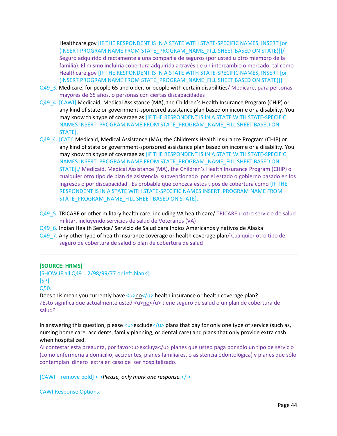Healthcare.gov [IF THE RESPONDENT IS IN A STATE WITH STATE-SPECIFIC NAMES, INSERT [or (INSERT PROGRAM NAME FROM STATE\_PROGRAM\_NAME\_FILL SHEET BASED ON STATE)]]/ Seguro adquirido directamente a una compañía de seguros (por usted u otro miembro de la familia). El mismo incluiría cobertura adquirida a través de un intercambio o mercado, tal como Healthcare.gov [IF THE RESPONDENT IS IN A STATE WITH STATE-SPECIFIC NAMES, INSERT [or (INSERT PROGRAM NAME FROM STATE\_PROGRAM\_NAME\_FILL SHEET BASED ON STATE)]]

- Q49\_3. Medicare, for people 65 and older, or people with certain disabilities/ Medicare, para personas mayores de 65 años, o personas con ciertas discapacidades
- Q49\_4. [CAWI] Medicaid, Medical Assistance (MA), the Children's Health Insurance Program (CHIP) or any kind of state or government-sponsored assistance plan based on income or a disability. You may know this type of coverage as [IF THE RESPONDENT IS IN A STATE WITH STATE-SPECIFIC NAMES INSERT PROGRAM NAME FROM STATE\_PROGRAM\_NAME\_FILL SHEET BASED ON STATE].
- Q49\_4. [CATI] Medicaid, Medical Assistance (MA), the Children's Health Insurance Program (CHIP) or any kind of state or government-sponsored assistance plan based on income or a disability. You may know this type of coverage as [IF THE RESPONDENT IS IN A STATE WITH STATE-SPECIFIC NAMES INSERT PROGRAM NAME FROM STATE\_PROGRAM\_NAME\_FILL SHEET BASED ON STATE]./ Medicaid, Medical Assistance (MA), the Children's Health Insurance Program (CHIP) o cualquier otro tipo de plan de asistencia subvencionado por el estado o gobierno basado en los ingresos o por discapacidad. Es probable que conozca estos tipos de cobertura como [IF THE RESPONDENT IS IN A STATE WITH STATE-SPECIFIC NAMES INSERT PROGRAM NAME FROM STATE\_PROGRAM\_NAME\_FILL SHEET BASED ON STATE].
- Q49\_5. TRICARE or other military health care, including VA health care/ TRICARE u otro servicio de salud militar, incluyendo servicios de salud de Veteranos (VA)
- Q49\_6. Indian Health Service/ Servicio de Salud para Indios Americanos y nativos de Alaska
- Q49\_7. Any other type of health insurance coverage or health coverage plan/ Cualquier otro tipo de seguro de cobertura de salud o plan de cobertura de salud

#### **[SOURCE: HRMS]**

[SHOW IF all Q49 = 2/98/99/77 or left blank] [SP]

Q50.

Does this mean you currently have <u>no</u> health insurance or health coverage plan? ¿Esto significa que actualmente usted <u>no</u> tiene seguro de salud o un plan de cobertura de salud?

In answering this question, please <u>exclude</u> plans that pay for only one type of service (such as, nursing home care, accidents, family planning, or dental care) and plans that only provide extra cash when hospitalized.

Al contestar esta pregunta, por favor<u>excluya</u> planes que usted paga por sólo un tipo de servicio (como enfermería a domicilio, accidentes, planes familiares, o asistencia odontológica) y planes que sólo contemplan dinero extra en caso de ser hospitalizado.

[CAWI – remove bold] <i>*Please, only mark one response.*</i>

CAWI Response Options: